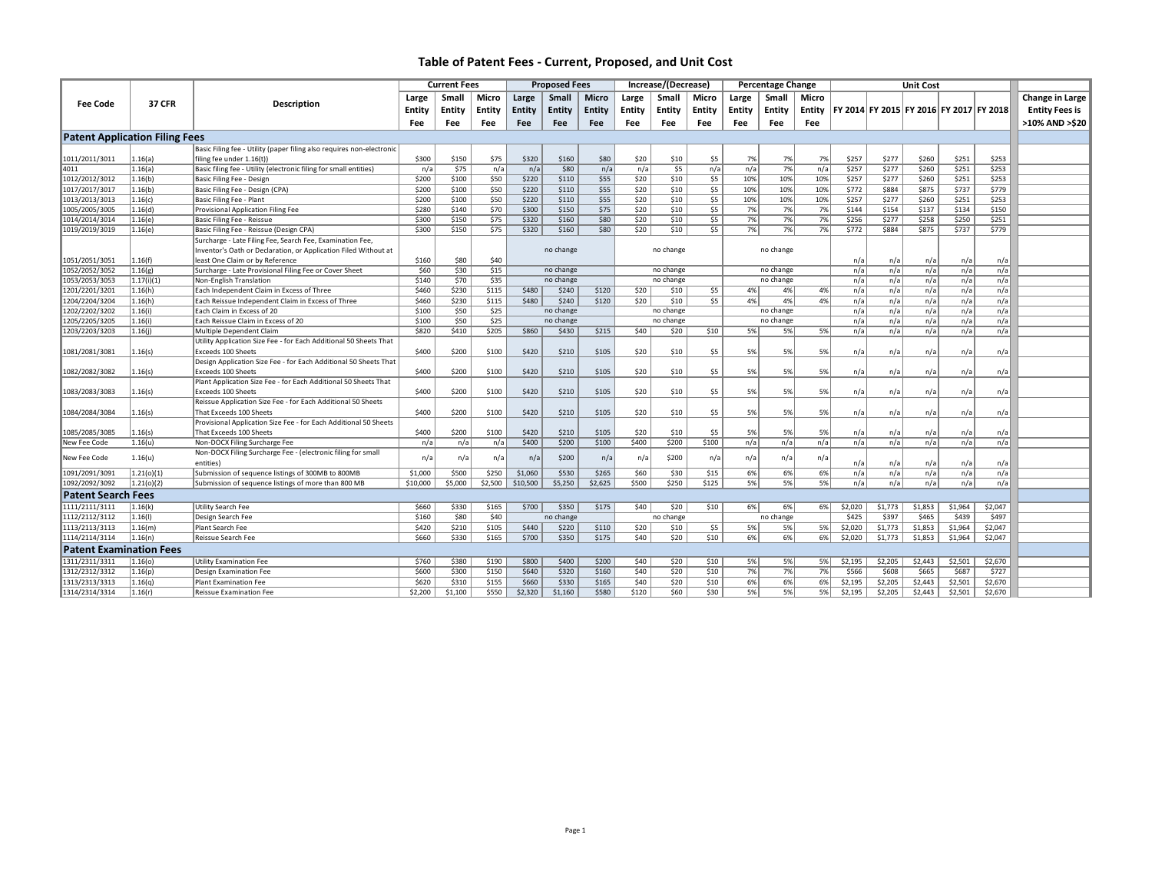|                                       |               |                                                                       |          | <b>Current Fees</b> |         | <b>Proposed Fees</b> |           | Increase/(Decrease) |        |           | <b>Percentage Change</b> |        | <b>Unit Cost</b> |        |         |         |         |                                         |         |                       |
|---------------------------------------|---------------|-----------------------------------------------------------------------|----------|---------------------|---------|----------------------|-----------|---------------------|--------|-----------|--------------------------|--------|------------------|--------|---------|---------|---------|-----------------------------------------|---------|-----------------------|
|                                       |               |                                                                       | Large    | Small               | Micro   | Large                | Small     | <b>Micro</b>        | Large  | Small     | Micro                    | Large  | Small            | Micro  |         |         |         |                                         |         | Change in Large       |
| <b>Fee Code</b>                       | <b>37 CFR</b> | <b>Description</b>                                                    |          |                     |         |                      |           |                     |        |           |                          |        |                  |        |         |         |         |                                         |         |                       |
|                                       |               |                                                                       | Entity   | Entity              | Entity  | Entity               | Entity    | Entity              | Entity | Entity    | Entity                   | Entity | Entity           | Entity |         |         |         | FY 2014 FY 2015 FY 2016 FY 2017 FY 2018 |         | <b>Entity Fees is</b> |
|                                       |               |                                                                       | Fee      | Fee                 | Fee     | Fee                  | Fee       | Fee                 | Fee    | Fee       | Fee                      | Fee    | Fee              | Fee    |         |         |         |                                         |         | >10% AND >\$20        |
| <b>Patent Application Filing Fees</b> |               |                                                                       |          |                     |         |                      |           |                     |        |           |                          |        |                  |        |         |         |         |                                         |         |                       |
|                                       |               | Basic Filing fee - Utility (paper filing also requires non-electronic |          |                     |         |                      |           |                     |        |           |                          |        |                  |        |         |         |         |                                         |         |                       |
| 1011/2011/3011                        | 1.16(a)       | filing fee under 1.16(t))                                             | \$300    | \$150               | \$75    | \$320                | \$160     | \$80                | \$20   | \$10      | \$5                      | 7%     | 7%               | 7%     | \$257   | \$277   | \$260   | \$251                                   | \$253   |                       |
| 4011                                  | 1.16(a)       | Basic filing fee - Utility (electronic filing for small entities)     | n/a      | \$75                | n/a     | n/a                  | \$80      | n/a                 | n/a    | \$5       | n/a                      | n/a    | 7%               | n/a    | \$257   | \$277   | \$260   | \$251                                   | \$253   |                       |
| 1012/2012/3012                        | 1.16(b)       | Basic Filing Fee - Design                                             | \$200    | \$100               | \$50    | \$220                | \$110     | \$55                | \$20   | \$10      | \$5                      | 10%    | 10%              | 10%    | \$257   | \$277   | \$260   | \$251                                   | \$253   |                       |
| 1017/2017/3017                        | 1.16(b)       | Basic Filing Fee - Design (CPA)                                       | \$200    | \$100               | \$50    | \$220                | \$110     | \$55                | \$20   | \$10      | \$5                      | 10%    | 10%              | 10%    | \$772   | \$884   | \$875   | \$737                                   | \$779   |                       |
| 1013/2013/3013                        | 1.16(c)       | Basic Filing Fee - Plant                                              | \$200    | \$100               | \$50    | \$220                | \$110     | \$55                | \$20   | \$10      | \$5                      | 10%    | 10%              | 10%    | \$257   | \$277   | \$260   | \$251                                   | \$253   |                       |
| 1005/2005/3005                        | 1.16(d)       | Provisional Application Filing Fee                                    | \$280    | \$140               | \$70    | \$300                | \$150     | \$75                | \$20   | \$10      | \$5                      | 7%     | 7%               | 7%     | \$144   | \$154   | \$137   | \$134                                   | \$150   |                       |
| 1014/2014/3014                        | 1.16(e)       | Basic Filing Fee - Reissue                                            | \$300    | \$150               | \$75    | \$320                | \$160     | \$80                | \$20   | \$10      | \$5                      | 7%     | 7%               | 7%     | \$256   | \$277   | \$258   | \$250                                   | \$251   |                       |
| 1019/2019/3019                        | 1.16(e)       | Basic Filing Fee - Reissue (Design CPA)                               | \$300    | \$150               | \$75    | \$320                | \$160     | \$80                | \$20   | \$10      | \$5                      | 7%     | 7%               | 7%     | \$772   | \$884   | \$875   | \$737                                   | \$779   |                       |
|                                       |               | Surcharge - Late Filing Fee, Search Fee, Examination Fee,             |          |                     |         |                      |           |                     |        |           |                          |        |                  |        |         |         |         |                                         |         |                       |
|                                       |               | Inventor's Oath or Declaration, or Application Filed Without at       |          |                     |         |                      | no change |                     |        | no change |                          |        | no change        |        |         |         |         |                                         |         |                       |
| 1051/2051/3051                        | 1.16(f)       | least One Claim or by Reference                                       | \$160    | \$80                | \$40    |                      |           |                     |        |           |                          |        |                  |        | n/a     | n/a     | n/a     | n/a                                     | n/a     |                       |
| 1052/2052/3052                        | 1.16(g)       | Surcharge - Late Provisional Filing Fee or Cover Sheet                | \$60     | \$30                | \$15    |                      | no change |                     |        | no change |                          |        | no change        |        | n/a     | n/a     | n/a     | n/a                                     | n/a     |                       |
| 1053/2053/3053                        | 1.17(i)(1)    | Non-English Translation                                               | \$140    | \$70                | \$35    |                      | no change |                     |        | no change |                          |        | no change        |        | n/a     | n/a     | n/a     | n/a                                     | n/a     |                       |
| 1201/2201/3201                        | 1.16(h)       | Each Independent Claim in Excess of Three                             | \$460    | \$230               | \$115   | \$480                | \$240     | \$120               | \$20   | \$10      | \$5                      | 4%     | 4%               | 4%     | n/a     | n/a     | n/a     | n/a                                     | n/a     |                       |
| 1204/2204/3204                        | 1.16(h)       | Each Reissue Independent Claim in Excess of Three                     | \$460    | \$230               | \$115   | \$480                | \$240     | \$120               | \$20   | \$10      | \$5                      | 4%     | 4%               | 4%     | n/a     | n/a     | n/a     | n/a                                     | n/a     |                       |
| 1202/2202/3202                        | 1.16(i)       | Each Claim in Excess of 20                                            | \$100    | \$50                | \$25    |                      | no change |                     |        | no change |                          |        | no change        |        | n/a     | n/a     | n/a     | n/a                                     | n/a     |                       |
| 1205/2205/3205                        | 1.16(i)       | Each Reissue Claim in Excess of 20                                    | \$100    | \$50                | \$25    |                      | no change |                     |        | no change |                          |        | no change        |        | n/a     | n/a     | n/a     | n/a                                     | n/a     |                       |
| 1203/2203/3203                        | 1.16(i)       | Multiple Dependent Claim                                              | \$820    | \$410               | \$205   | \$860                | \$430     | \$215               | \$40   | \$20      | \$10                     | 5%     | 5%               | 5%     | n/a     | n/a     | n/a     | n/a                                     | n/a     |                       |
|                                       |               | Utility Application Size Fee - for Each Additional 50 Sheets That     |          |                     |         |                      |           |                     |        |           |                          |        |                  |        |         |         |         |                                         |         |                       |
| 1081/2081/3081                        | 1.16(s)       | Exceeds 100 Sheets                                                    | \$400    | \$200               | \$100   | \$420                | \$210     | \$105               | \$20   | \$10      | \$5                      | 5%     | 5%               | 5%     | n/a     | n/a     | n/a     | n/a                                     | n/a     |                       |
|                                       |               | Design Application Size Fee - for Each Additional 50 Sheets That      |          |                     |         |                      |           |                     |        |           |                          |        |                  |        |         |         |         |                                         |         |                       |
| 1082/2082/3082                        | 1.16(s)       | Exceeds 100 Sheets                                                    | \$400    | \$200               | \$100   | \$420                | \$210     | \$105               | \$20   | \$10      | \$5                      | 5%     | 5%               | 5%     | n/a     | n/a     | n/a     | n/a                                     | n/a     |                       |
|                                       |               | Plant Application Size Fee - for Each Additional 50 Sheets That       |          |                     |         |                      |           |                     |        |           |                          |        |                  |        |         |         |         |                                         |         |                       |
| 1083/2083/3083                        | 1.16(s)       | Exceeds 100 Sheets                                                    | \$400    | \$200               | \$100   | \$420                | \$210     | \$105               | \$20   | \$10      | \$5                      | 5%     | 5%               | 5%     | n/a     | n/a     | n/a     | n/a                                     | n/a     |                       |
|                                       |               | Reissue Application Size Fee - for Each Additional 50 Sheets          |          |                     |         |                      |           |                     |        |           |                          |        |                  |        |         |         |         |                                         |         |                       |
| 1084/2084/3084                        | 1.16(s)       | That Exceeds 100 Sheets                                               | \$400    | \$200               | \$100   | \$420                | \$210     | \$105               | \$20   | \$10      | \$5                      | 5%     | 5%               | 5%     | n/a     | n/a     | n/a     | n/a                                     | n/a     |                       |
|                                       |               | Provisional Application Size Fee - for Each Additional 50 Sheets      |          |                     |         |                      |           |                     |        |           |                          |        |                  |        |         |         |         |                                         |         |                       |
| 1085/2085/3085                        | 1.16(s)       | That Exceeds 100 Sheets                                               | \$400    | \$200               | \$100   | \$420                | \$210     | \$105               | \$20   | \$10      | \$5                      | 5%     | 5%               | 5%     | n/a     | n/a     | n/a     | n/a                                     | n/a     |                       |
| New Fee Code                          | 1.16(u)       | Non-DOCX Filing Surcharge Fee                                         | n/a      | n/a                 | n/a     | \$400                | \$200     | \$100               | \$400  | \$200     | \$100                    | n/a    | n/a              | n/a    | n/a     | n/a     | n/a     | n/a                                     | n/a     |                       |
| New Fee Code                          | 1.16(u)       | Non-DOCX Filing Surcharge Fee - (electronic filing for small          | n/a      | n/a                 | n/a     | n/a                  | \$200     | n/a                 | n/a    | \$200     | n/a                      | n/a    | n/a              | n/a    |         |         |         |                                         |         |                       |
|                                       |               | entities)                                                             |          |                     |         |                      |           |                     |        |           |                          |        |                  |        | n/a     | n/a     | n/a     | n/a                                     | n/a     |                       |
| 1091/2091/3091                        | 1.21(0)(1)    | Submission of sequence listings of 300MB to 800MB                     | \$1,000  | \$500               | \$250   | \$1,060              | \$530     | \$265               | \$60   | \$30      | \$15                     | 6%     | 6%               | 6%     | n/a     | n/a     | n/a     | n/a                                     | n/a     |                       |
| 1092/2092/3092                        | 1.21(0)(2)    | Submission of sequence listings of more than 800 MB                   | \$10,000 | \$5,000             | \$2,500 | \$10,500             | \$5,250   | \$2,625             | \$500  | \$250     | \$125                    | 5%     | 5%               | 5%     | n/a     | n/a     | n/a     | n/a                                     | n/a     |                       |
| <b>Patent Search Fees</b>             |               |                                                                       |          |                     |         |                      |           |                     |        |           |                          |        |                  |        |         |         |         |                                         |         |                       |
| 1111/2111/3111                        | 1.16(k)       | Utility Search Fee                                                    | \$660    | \$330               | \$165   | \$700                | \$350     | \$175               | \$40   | \$20      | \$10                     | 6%     | 6%               | 6%     | \$2,020 | \$1,773 | \$1,853 | \$1,964                                 | \$2,047 |                       |
| 1112/2112/3112                        | 1.16(1)       | Design Search Fee                                                     | \$160    | \$80                | \$40    |                      | no change |                     |        | no change |                          |        | no change        |        | \$425   | \$397   | \$465   | \$439                                   | \$497   |                       |
| 1113/2113/3113                        | 1.16(m)       | Plant Search Fee                                                      | \$420    | \$210               | \$105   | \$440                | \$220     | \$110               | \$20   | \$10      | \$5                      | 5%     | 5%               | 5%     | \$2,020 | \$1,773 | \$1,853 | \$1,964                                 | \$2,047 |                       |
| 1114/2114/3114                        | 1.16(n)       | Reissue Search Fee                                                    | \$660    | \$330               | \$165   | \$700                | \$350     | \$175               | \$40   | \$20      | \$10                     | 6%     | 6%               | 6%     | \$2,020 | \$1,773 | \$1,853 | \$1,964                                 | \$2,047 |                       |
| <b>Patent Examination Fees</b>        |               |                                                                       |          |                     |         |                      |           |                     |        |           |                          |        |                  |        |         |         |         |                                         |         |                       |
| 1311/2311/3311                        | 1.16(0)       | <b>Utility Examination Fee</b>                                        | \$760    | \$380               | \$190   | \$800                | \$400     | \$200               | \$40   | \$20      | \$10                     | 5%     | 5%               | 5%     | \$2,195 | \$2,205 | \$2,443 | \$2,501                                 | \$2,670 |                       |
| 1312/2312/3312                        | 1.16(p)       | Design Examination Fee                                                | \$600    | \$300               | \$150   | \$640                | \$320     | \$160               | \$40   | \$20      | \$10                     | 7%     | 7%               | 7%     | \$566   | \$608   | \$665   | \$687                                   | \$727   |                       |
| 1313/2313/3313                        | 1.16(a)       | Plant Examination Fee                                                 | \$620    | \$310               | \$155   | \$660                | \$330     | \$165               | \$40   | \$20      | \$10                     | 6%     | 6%               | 6%     | \$2,195 | \$2,205 | \$2,443 | \$2,501                                 | \$2,670 |                       |
| 1314/2314/3314                        | 1.16(r)       | Reissue Examination Fee                                               | \$2,200  | \$1,100             | \$550   | \$2,320              | \$1,160   | \$580               | \$120  | \$60      | \$30                     | 5%     | 5%               | 5%     | \$2,195 | \$2,205 | \$2,443 | \$2,501                                 | \$2,670 |                       |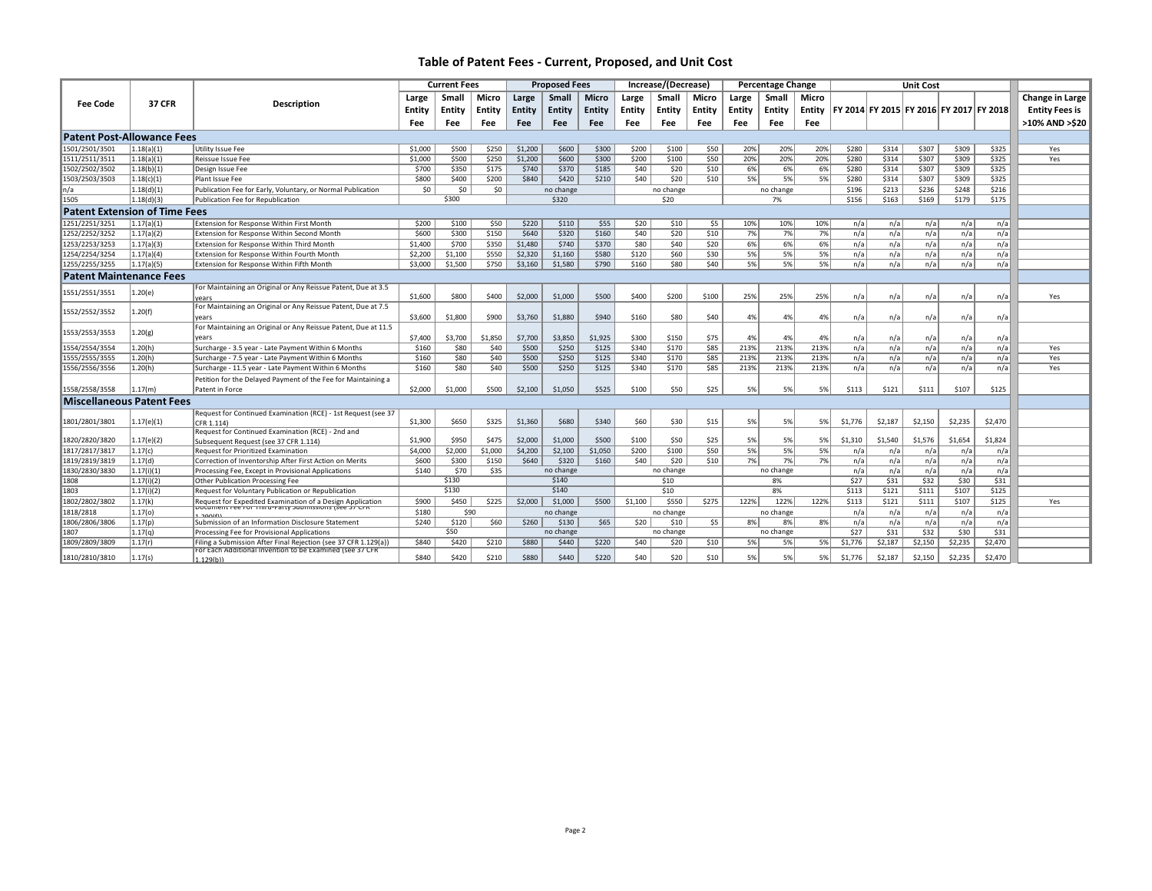|                                      |               |                                                                                                                             |         | <b>Current Fees</b> |         | <b>Proposed Fees</b> |           |              | Increase/(Decrease) |           |        |        | <b>Percentage Change</b> |       |                                                          | <b>Unit Cost</b> |         |         |         |                       |
|--------------------------------------|---------------|-----------------------------------------------------------------------------------------------------------------------------|---------|---------------------|---------|----------------------|-----------|--------------|---------------------|-----------|--------|--------|--------------------------|-------|----------------------------------------------------------|------------------|---------|---------|---------|-----------------------|
|                                      |               |                                                                                                                             | Large   | Smal                | Micro   | Large                | Small     | <b>Micro</b> | Large               | Small     | Micro  | Large  | Small                    | Micro |                                                          |                  |         |         |         | Change in Large       |
| <b>Fee Code</b>                      | <b>37 CFR</b> | <b>Description</b>                                                                                                          | Entity  | Entity              | Entity  | Entity               | Entity    | Entity       | Entity              | Entity    | Entity | Entity | Entity                   |       | Entity   FY 2014   FY 2015   FY 2016   FY 2017   FY 2018 |                  |         |         |         | <b>Entity Fees is</b> |
|                                      |               |                                                                                                                             |         |                     |         |                      |           |              |                     |           |        |        |                          |       |                                                          |                  |         |         |         | >10% AND >\$20        |
|                                      |               |                                                                                                                             | Fee     | Fee                 | Fee     | <b>Fee</b>           | Fee       | <b>Fee</b>   | Fee                 | Fee       | Fee    | Fee    | Fee                      | Fee   |                                                          |                  |         |         |         |                       |
| <b>Patent Post-Allowance Fees</b>    |               |                                                                                                                             |         |                     |         |                      |           |              |                     |           |        |        |                          |       |                                                          |                  |         |         |         |                       |
| 1501/2501/3501                       | 1.18(a)(1)    | Utility Issue Fee                                                                                                           | \$1,000 | \$500               | \$250   | \$1,200              | \$600     | \$300        | \$200               | \$100     | \$50   | 20%    | 20%                      | 20%   | \$280                                                    | \$314            | \$307   | \$309   | \$325   | Yes                   |
| 1511/2511/3511                       | 1.18(a)(1)    | Reissue Issue Fee                                                                                                           | \$1,000 | \$500               | \$250   | \$1,200              | \$600     | \$300        | \$200               | \$100     | \$50   | 20%    | 20%                      | 20%   | \$280                                                    | \$314            | \$307   | \$309   | \$325   | Yes                   |
| 1502/2502/3502                       | 1.18(b)(1)    | Design Issue Fee                                                                                                            | \$700   | \$350               | \$175   | \$740                | \$370     | \$185        | \$40                | \$20      | \$10   | 6%     | 6%                       | 6%    | \$280                                                    | \$314            | \$307   | \$309   | \$325   |                       |
| 1503/2503/3503                       | 1.18(c)(1)    | Plant Issue Fee                                                                                                             | \$800   | \$400               | \$200   | \$840                | \$420     | \$210        | \$40                | \$20      | \$10   | 5%     | 5%                       | 5%    | \$280                                                    | \$314            | \$307   | \$309   | \$325   |                       |
| In/a                                 | 1.18(d)(1)    | Publication Fee for Early, Voluntary, or Normal Publication                                                                 | \$0     | \$0                 | \$0     |                      | no change |              |                     | no change |        |        | no change                |       | \$196                                                    | \$213            | \$236   | \$248   | \$216   |                       |
| 1505                                 | 1.18(d)(3)    | Publication Fee for Republication                                                                                           |         | \$300               |         |                      | \$320     |              |                     | \$20      |        |        | 7%                       |       | \$156                                                    | \$163            | \$169   | \$179   | \$175   |                       |
| <b>Patent Extension of Time Fees</b> |               |                                                                                                                             |         |                     |         |                      |           |              |                     |           |        |        |                          |       |                                                          |                  |         |         |         |                       |
| 1251/2251/3251                       | 1.17(a)(1)    | Extension for Response Within First Month                                                                                   | \$200   | \$100               | \$50    | \$220                | \$110     | \$55         | \$20                | \$10      | \$5    | 10%    | 10%                      | 10%   | n/a                                                      | n/a              | n/a     | n/a     | n/a     |                       |
| 1252/2252/3252                       | 1.17(a)(2)    | Extension for Response Within Second Month                                                                                  | \$600   | \$300               | \$150   | \$640                | \$320     | \$160        | \$40                | \$20      | \$10   | 7%     | 7%                       | 7%    | n/a                                                      | n/a              | n/a     | n/a     | n/a     |                       |
| 1253/2253/3253                       | 1.17(a)(3)    | Extension for Response Within Third Month                                                                                   | \$1,400 | \$700               | \$350   | \$1,480              | \$740     | \$370        | \$80                | \$40      | \$20   | 6%     | 6%                       | 6%    | n/a                                                      | n/a              | n/a     | n/a     | n/a     |                       |
| 1254/2254/3254                       | 1.17(a)(4)    | Extension for Response Within Fourth Month                                                                                  | \$2,200 | \$1,100             | \$550   | \$2,320              | \$1,160   | \$580        | \$120               | \$60      | \$30   | 5%     | 5%                       | 5%    | n/a                                                      | n/a              | n/a     | n/a     | n/a     |                       |
| 1255/2255/3255                       | 1.17(a)(5)    | Extension for Response Within Fifth Month                                                                                   | \$3,000 | \$1,500             | \$750   | \$3,160              | \$1,580   | \$790        | \$160               | \$80      | \$40   | 5%     | 5%                       | 5%    | n/a                                                      | n/a              | n/a     | n/a     | n/a     |                       |
| <b>Patent Maintenance Fees</b>       |               |                                                                                                                             |         |                     |         |                      |           |              |                     |           |        |        |                          |       |                                                          |                  |         |         |         |                       |
| 1551/2551/3551                       | 1.20(e)       | For Maintaining an Original or Any Reissue Patent, Due at 3.5                                                               |         |                     |         |                      |           |              |                     |           |        |        |                          |       |                                                          |                  |         |         |         |                       |
|                                      |               | vears                                                                                                                       | \$1,600 | \$800               | \$400   | \$2,000              | \$1,000   | \$500        | \$400               | \$200     | \$100  | 25%    | 25%                      | 25%   | n/a                                                      | n/a              | n/a     | n/a     | n/a     | Yes                   |
| 1552/2552/3552                       | 1.20(f)       | For Maintaining an Original or Any Reissue Patent, Due at 7.5                                                               |         |                     |         |                      |           |              |                     |           |        |        |                          |       |                                                          |                  |         |         |         |                       |
|                                      |               | years                                                                                                                       | \$3,600 | \$1,800             | \$900   | \$3,760              | \$1,880   | \$940        | \$160               | \$80      | \$40   | 4%     | 4%                       | 4%    | n/a                                                      | n/a              | n/a     | n/a     | n/a     |                       |
| 1553/2553/3553                       | 1.20(g)       | For Maintaining an Original or Any Reissue Patent, Due at 11.5                                                              |         |                     |         |                      |           |              |                     |           |        |        |                          |       |                                                          |                  |         |         |         |                       |
|                                      |               | vears                                                                                                                       | \$7,400 | \$3,700             | \$1,850 | \$7,700              | \$3,850   | \$1,925      | \$300               | \$150     | \$75   | 4%     | 4%                       | 4%    | n/a                                                      | n/a              | n/a     | n/a     | n/a     |                       |
| 1554/2554/3554                       | 1.20(h)       | Surcharge - 3.5 year - Late Payment Within 6 Months                                                                         | \$160   | \$80                | \$40    | \$500                | \$250     | \$125        | \$340               | \$170     | \$85   | 213%   | 213%                     | 213%  | n/a                                                      | n/a              | n/a     | n/a     | n/a     | Yes                   |
| 1555/2555/3555                       | 1.20(h)       | Surcharge - 7.5 year - Late Payment Within 6 Months                                                                         | \$160   | \$80                | \$40    | \$500                | \$250     | \$125        | \$340               | \$170     | \$85   | 213%   | 213%                     | 213%  | n/a                                                      | n/a              | n/a     | n/a     | n/a     | Yes                   |
| 1556/2556/3556                       | 1.20(h)       | Surcharge - 11.5 year - Late Payment Within 6 Months                                                                        | \$160   | \$80                | \$40    | \$500                | \$250     | \$125        | \$340               | \$170     | \$85   | 213%   | 213%                     | 213%  | n/a                                                      | n/a              | n/a     | n/a     | n/a     | Yes                   |
|                                      |               | Petition for the Delayed Payment of the Fee for Maintaining a                                                               |         |                     |         |                      |           |              |                     |           |        |        |                          |       |                                                          |                  |         |         |         |                       |
| 1558/2558/3558                       | 1.17(m)       | Patent in Force                                                                                                             | \$2,000 | \$1,000             | \$500   | \$2,100              | \$1,050   | \$525        | \$100               | \$50      | \$25   | 5%     | 5%                       | 5%    | \$113                                                    | \$121            | \$111   | \$107   | \$125   |                       |
| <b>Miscellaneous Patent Fees</b>     |               |                                                                                                                             |         |                     |         |                      |           |              |                     |           |        |        |                          |       |                                                          |                  |         |         |         |                       |
|                                      |               | Request for Continued Examination (RCE) - 1st Request (see 37                                                               |         |                     |         |                      |           |              |                     |           |        |        |                          |       |                                                          |                  |         |         |         |                       |
| 1801/2801/3801                       | 1.17(e)(1)    | CFR 1.114)                                                                                                                  | \$1,300 | \$650               | \$325   | \$1,360              | \$680     | \$340        | \$60                | \$30      | \$15   | 5%     | 5%                       | 5%    | \$1,776                                                  | \$2,187          | \$2,150 | \$2,235 | \$2,470 |                       |
|                                      |               | Request for Continued Examination (RCE) - 2nd and                                                                           |         |                     |         |                      |           |              |                     |           |        |        |                          |       |                                                          |                  |         |         |         |                       |
| 1820/2820/3820                       | 1.17(e)(2)    | Subsequent Request (see 37 CFR 1.114)                                                                                       | \$1,900 | \$950               | \$475   | \$2,000              | \$1,000   | \$500        | \$100               | \$50      | \$25   | 5%     | 5%                       | 5%    | \$1,310                                                  | \$1,540          | \$1,576 | \$1,654 | \$1,824 |                       |
| 1817/2817/3817                       | 1.17(c)       | Request for Prioritized Examination                                                                                         | \$4,000 | \$2,000             | \$1,000 | \$4,200              | \$2,100   | \$1,050      | \$200               | \$100     | \$50   | 5%     | 5%                       | 5%    | n/a                                                      | n/a              | n/a     | n/a     | n/a     |                       |
| 1819/2819/3819                       | 1.17(d)       | Correction of Inventorship After First Action on Merits                                                                     | \$600   | \$300               | \$150   | \$640                | \$320     | \$160        | \$40                | \$20      | \$10   | 7%     | 7%                       | 7%    | n/a                                                      | n/a              | n/a     | n/a     | n/a     |                       |
| 1830/2830/3830                       | 1.17(i)(1)    | Processing Fee, Except in Provisional Applications                                                                          | \$140   | \$70                | \$35    |                      | no change |              |                     | no change |        |        | no change                |       | n/a                                                      | n/a              | n/a     | n/a     | n/a     |                       |
| 1808                                 | 1.17(i)(2)    | Other Publication Processing Fee                                                                                            |         | \$130               |         |                      | \$140     |              |                     | \$10      |        |        | 8%                       |       | \$27                                                     | \$31             | \$32    | \$30    | \$31    |                       |
| 1803                                 | 1.17(i)(2)    | Request for Voluntary Publication or Republication                                                                          |         | \$130               |         |                      | \$140     |              |                     | \$10      |        |        | 8%                       |       | \$113                                                    | \$121            | \$111   | \$107   | \$125   |                       |
| 1802/2802/3802                       | 1.17(k)       | Request for Expedited Examination of a Design Application<br>pocument ree ror minu-rarty published is (see by Cris          | \$900   | \$450               | \$225   | \$2,000              | \$1,000   | \$500        | \$1,100             | \$550     | \$275  | 122%   | 122%                     | 122%  | \$113                                                    | \$121            | \$111   | \$107   | \$125   | Yes                   |
| 1818/2818                            | 1.17(0)       |                                                                                                                             | \$180   | \$90                |         |                      | no change |              |                     | no change |        |        | no change                |       | n/a                                                      | n/a              | n/a     | n/a     | n/a     |                       |
| 1806/2806/3806                       | 1.17(p)       | Submission of an Information Disclosure Statement                                                                           | \$240   | \$120               | \$60    | \$260                | \$130     | \$65         | \$20                | \$10      | \$5    | 8%     | 8%                       | 8%    | n/a                                                      | n/a              | n/a     | n/a     | n/a     |                       |
| 1807                                 | 1.17(q)       | Processing Fee for Provisional Applications                                                                                 |         | \$50                |         |                      | no change |              |                     | no change |        |        | no change                |       | \$27                                                     | \$31             | \$32    | \$30    | \$31    |                       |
| 1809/2809/3809                       | 1.17(r)       | Filing a Submission After Final Rejection (see 37 CFR 1.129(a))<br>For Each Additional Invention to be Examined (see 37 CFR | \$840   | \$420               | \$210   | \$880                | \$440     | \$220        | \$40                | \$20      | \$10   | 5%     | 5%                       | 5%    | \$1,776                                                  | \$2,187          | \$2,150 | \$2,235 | \$2,470 |                       |
| 1810/2810/3810                       | 1.17(s)       | 1.129(b)                                                                                                                    | \$840   | \$420               | \$210   | \$880                | \$440     | \$220        | \$40                | \$20      | \$10   | 5%     | 5%                       | 5%    | \$1,776                                                  | \$2,187          | \$2,150 | \$2,235 | \$2,470 |                       |
|                                      |               |                                                                                                                             |         |                     |         |                      |           |              |                     |           |        |        |                          |       |                                                          |                  |         |         |         |                       |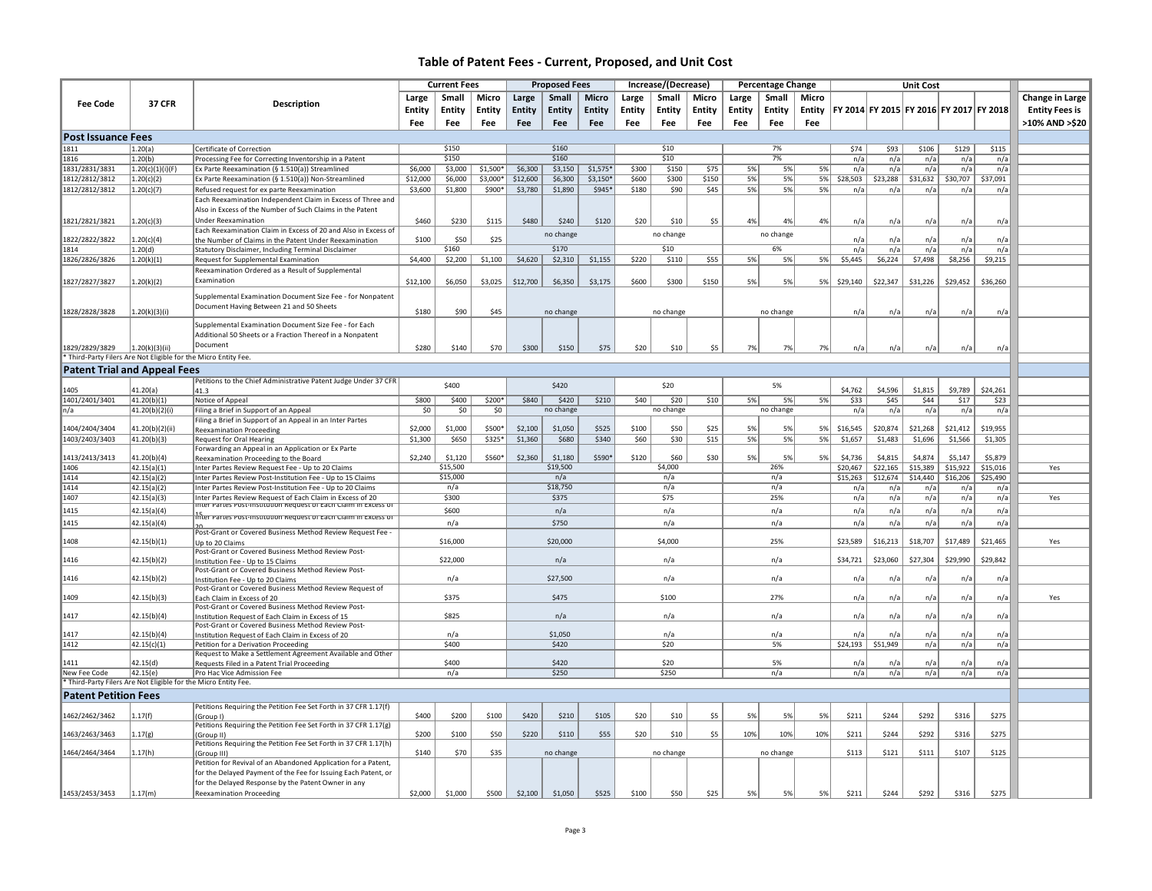| Micro<br>Change in Large<br>Small<br>Micro<br>Large<br>Small<br><b>Micro</b><br>Small<br>Micro<br>Small<br>Large<br>Large<br>Large<br><b>Fee Code</b><br><b>37 CFR</b><br>Description<br>Entity<br>FY 2014 FY 2015 FY 2016 FY 2017 FY 2018<br>Entity<br><b>Entity</b><br><b>Entity</b><br><b>Entity</b><br><b>Entity</b><br>Entity<br>Entity<br><b>Entity</b><br><b>Entity</b><br><b>Entity</b><br>Entity<br><b>Entity Fees is</b><br>>10% AND >\$20<br>Fee<br>Fee<br>Fee<br>Fee<br>Fee<br>Fee<br>Fee<br>Fee<br>Fee<br>Fee<br>Fee<br>Fee<br><b>Post Issuance Fees</b><br>\$150<br>\$160<br>\$10<br>7%<br>1811<br>1.20(a)<br>\$74<br>\$93<br>\$106<br>\$129<br>\$115<br>Certificate of Correction<br>\$10<br>7%<br>\$150<br>\$160<br>1816<br>1.20(b)<br>Processing Fee for Correcting Inventorship in a Patent<br>n/a<br>n/a<br>n/a<br>n/a<br>n/a<br>\$6,000<br>\$1,500*<br>\$6,300<br>\$3,150<br>$$1,575*$<br>\$300<br>\$150<br>\$75<br>n/a<br>1831/2831/3831<br>1.20(c)(1)(i)(F)<br>Ex Parte Reexamination (§ 1.510(a)) Streamlined<br>\$3,000<br>5%<br>5%<br>5%<br>n/a<br>n/a<br>n/a<br>n/a<br>1812/2812/3812<br>1.20(c)(2)<br>\$12,000<br>\$3,000*<br>\$12,600<br>\$6,300<br>$$3,150*$<br>\$600<br>\$300<br>\$150<br>5%<br>5%<br>5%<br>\$28,503<br>\$23,288<br>\$31,632<br>\$30,707<br>\$37,091<br>Ex Parte Reexamination (§ 1.510(a)) Non-Streamlined<br>\$6,000<br>1812/2812/3812<br>\$1,890<br>\$180<br>\$90<br>\$45<br>5%<br>5%<br>5%<br>1.20(c)(7)<br>\$3,600<br>\$1,800<br>\$900*<br>\$3,780<br>\$945*<br>Refused request for ex parte Reexamination<br>n/a<br>n/a<br>n/a<br>n/a<br>n/a<br>Each Reexamination Independent Claim in Excess of Three and<br>Also in Excess of the Number of Such Claims in the Patent<br>1.20(c)(3)<br><b>Under Reexamination</b><br>\$480<br>\$5<br>1821/2821/3821<br>\$460<br>\$230<br>\$115<br>\$240<br>\$120<br>\$20<br>\$10<br>4%<br>4%<br>4%<br>n/a<br>n/a<br>n/a<br>n/a<br>n/a<br>Each Reexamination Claim in Excess of 20 and Also in Excess of<br>no change<br>no change<br>no change<br>1822/2822/3822<br>1.20(c)(4)<br>\$100<br>\$50<br>\$25<br>n/a<br>n/a<br>n/a<br>n/a<br>n/a<br>the Number of Claims in the Patent Under Reexamination<br>\$160<br>\$170<br>\$10<br>6%<br>1814<br>1.20(d)<br>n/a<br>n/a<br>n/a<br>Statutory Disclaimer, Including Terminal Disclaimer<br>n/a<br>n/a<br>\$220<br>\$55<br>\$4,400<br>\$1,100<br>\$4,620<br>\$1,155<br>5%<br>5%<br>5%<br>\$5,445<br>\$7,498<br>\$9,215<br>1826/2826/3826<br>1.20(k)(1)<br>Request for Supplemental Examination<br>\$2,200<br>\$2,310<br>\$110<br>\$6,224<br>\$8,256<br>Reexamination Ordered as a Result of Supplemental<br>Examination<br>1827/2827/3827<br>1.20(k)(2)<br>\$12,100<br>\$6,050<br>\$3,025<br>\$12,700<br>\$6,350<br>\$3,175<br>\$600<br>\$300<br>\$150<br>5%<br>5%<br>5%<br>\$29,140<br>\$22,347<br>\$31,226<br>\$29,452<br>\$36,260<br>Supplemental Examination Document Size Fee - for Nonpatent<br>Document Having Between 21 and 50 Sheets<br>1828/2828/3828<br>1.20(k)(3)(i)<br>\$180<br>\$90<br>\$45<br>n/a<br>no change<br>no change<br>no change<br>n/a<br>n/a<br>n/a<br>n/a<br>Supplemental Examination Document Size Fee - for Each<br>Additional 50 Sheets or a Fraction Thereof in a Nonpatent<br>Document<br>1829/2829/3829<br>1.20(k)(3)(ii)<br>\$280<br>\$140<br>\$70<br>\$300<br>\$150<br>\$75<br>\$20<br>\$10<br>\$5<br>7%<br>7%<br>7%<br>n/a<br>n/a<br>n/a<br>n/a<br>n/a<br>Third-Party Filers Are Not Eligible for the Micro Entity Fee.<br><b>Patent Trial and Appeal Fees</b><br>Petitions to the Chief Administrative Patent Judge Under 37 CFR<br>\$400<br>\$420<br>\$20<br>5%<br>41.20(a)<br>\$4,762<br>\$4,596<br>\$1,815<br>\$9,789<br>\$24,261<br>41.3<br>1401/2401/3401<br>41.20(b)(1)<br>\$800<br>\$400<br>\$200*<br>\$840<br>\$420<br>\$210<br>\$40<br>\$20<br>\$10<br>5%<br>5%<br>5%<br>\$33<br>\$45<br>\$44<br>\$17<br>\$23<br>Notice of Appeal<br>41.20(b)(2)(i)<br>\$0<br>50<br>\$0<br>no change<br>no change<br>no change<br>n/a<br>n/a<br>Filing a Brief in Support of an Appeal<br>n/a<br>n/a<br>n/a<br>ln/a<br>Filing a Brief in Support of an Appeal in an Inter Partes<br>1404/2404/3404<br>41.20(b)(2)(ii)<br>\$2,000<br>\$1,000<br>\$500*<br>\$2,100<br>\$1,050<br>\$525<br>\$100<br>\$25<br>\$20,874<br>\$21,268<br>\$19,955<br>\$50<br>5%<br>5%<br>5%<br>\$16,545<br>\$21,412<br><b>Reexamination Proceeding</b><br>1403/2403/3403<br>41.20(b)(3)<br>\$1,300<br>\$650<br>\$325*<br>\$1,360<br>\$680<br>\$340<br>\$60<br>\$30<br>\$15<br>5%<br>5%<br>5%<br>\$1,657<br>\$1,483<br>\$1,696<br>\$1,566<br>\$1,305<br><b>Request for Oral Hearing</b><br>Forwarding an Appeal in an Application or Ex Parte<br>41.20(b)(4)<br>\$4,815<br>\$4,874<br>\$5,879<br>1413/2413/3413<br>\$2,240<br>\$1,120<br>\$560*<br>\$2,360<br>\$1,180<br>\$590*<br>\$120<br>\$60<br>\$30<br>5%<br>5%<br>5%<br>\$4,736<br>\$5,147<br>Reexamination Proceeding to the Board<br>\$19,500<br>\$15,389<br>1406<br>42.15(a)(1)<br>\$15,500<br>\$4,000<br>26%<br>\$20,467<br>\$22,165<br>\$15,922<br>\$15,016<br>Yes<br>Inter Partes Review Request Fee - Up to 20 Claims<br>1414<br>\$15,000<br>n/a<br>\$12,674<br>\$14,440<br>42.15(a)(2)<br>n/a<br>\$15,263<br>\$16,206<br>\$25,490<br>Inter Partes Review Post-Institution Fee - Up to 15 Claims<br>n/a<br>\$18,750<br>1414<br>n/a<br>n/a<br>42.15(a)(2)<br>n/a<br>Inter Partes Review Post-Institution Fee - Up to 20 Claims<br>n/a<br>n/a<br>n/a<br>n/a<br>n/a<br>\$75<br>1407<br>\$300<br>\$375<br>25%<br>42.15(a)(3)<br>Inter Partes Review Request of Each Claim in Excess of 20<br>n/a<br>n/a<br>n/a<br>n/a<br>n/a<br>Yes<br>nter Partes Post-institution Request of Each Claim in Excess.<br>1415<br>42.15(a)(4)<br>\$600<br>n/a<br>n/a<br>n/a<br>n/a<br>n/a<br>n/a<br>n/a<br>n/a<br>inter Partes Post-institution Request or Each Claim in Excess or<br>1415<br>\$750<br>n/a<br>n/a<br>n/a<br>n/a<br>n/a<br>n/a<br>n/a<br>42.15(a)(4)<br>n/a<br>Post-Grant or Covered Business Method Review Request Fee -<br>1408<br>\$4,000<br>25%<br>\$23,589<br>\$16,213<br>\$18,707<br>\$17,489<br>\$21,465<br>42.15(b)(1)<br>\$16,000<br>\$20,000<br>Yes<br>Up to 20 Claims<br>Post-Grant or Covered Business Method Review Post-<br>1416<br>42.15(b)(2)<br>\$22,000<br>n/a<br>n/a<br>n/a<br>\$34,721<br>\$23,060<br>\$27,304<br>\$29,990<br>\$29,842<br>Institution Fee - Up to 15 Claims<br>Post-Grant or Covered Business Method Review Post-<br>\$27,500<br>1416<br>42.15(b)(2)<br>n/a<br>n/a<br>Institution Fee - Up to 20 Claims<br>n/a<br>n/a<br>n/a<br>n/a<br>n/a<br>n/a<br>Post-Grant or Covered Business Method Review Request of<br>1409<br>42.15(b)(3)<br>\$375<br>\$475<br>\$100<br>27%<br>n/a<br>n/a<br>n/a<br>n/a<br>n/a<br>Yes<br>Each Claim in Excess of 20<br>Post-Grant or Covered Business Method Review Post-<br>42.15(b)(4)<br>\$825<br>n/a<br>n/a<br>n/a<br>1417<br>Institution Request of Each Claim in Excess of 15<br>n/a<br>n/a<br>n/a<br>n/a<br>n/a<br>Post-Grant or Covered Business Method Review Post-<br>42.15(b)(4)<br>\$1,050<br>1417<br>n/a<br>n/a<br>n/a<br>n/a<br>n/a<br>n/a<br>n/a<br>n/a<br>Institution Request of Each Claim in Excess of 20<br>\$51,949<br>1412<br>42.15(c)(1)<br>Petition for a Derivation Proceeding<br>\$400<br>\$420<br>\$20<br>5%<br>\$24,193<br>n/a<br>n/a<br>n/a<br>Request to Make a Settlement Agreement Available and Other<br>\$400<br>\$420<br>\$20<br>5%<br>42.15(d)<br>n/a<br>1411<br>n/a<br>n/a<br>n/a<br>Requests Filed in a Patent Trial Proceeding<br>n/a<br>42.15(e)<br>\$250<br>Pro Hac Vice Admission Fee<br>n/a<br>n/a<br>n/a<br>New Fee Code<br>n/a<br>\$250<br>n/a<br>n/a<br>n/a<br>Third-Party Filers Are Not Eligible for the Micro Entity Fee.<br><b>Patent Petition Fees</b><br>Petitions Requiring the Petition Fee Set Forth in 37 CFR 1.17(f)<br>\$420<br>\$275<br>1.17(f)<br>\$400<br>\$200<br>\$100<br>\$210<br>\$105<br>\$20<br>\$10<br>\$5<br>5%<br>5%<br>\$211<br>\$244<br>\$292<br>\$316<br>1462/2462/3462<br>5%<br>(Group I)<br>Petitions Requiring the Petition Fee Set Forth in 37 CFR 1.17(g)<br>1463/2463/3463<br>1.17(g)<br>\$200<br>\$100<br>\$50<br>\$220<br>\$110<br>\$55<br>\$20<br>\$10<br>\$5<br>10%<br>10%<br>10%<br>\$211<br>\$244<br>\$292<br>\$316<br>\$275<br>(Group II)<br>Petitions Requiring the Petition Fee Set Forth in 37 CFR 1.17(h)<br>1464/2464/3464<br>1.17(h)<br>\$140<br>\$70<br>\$35<br>\$113<br>\$121<br>\$111<br>\$107<br>\$125<br>no change<br>no change<br>no change<br>(Group III)<br>Petition for Revival of an Abandoned Application for a Patent,<br>for the Delayed Payment of the Fee for Issuing Each Patent, or<br>for the Delayed Response by the Patent Owner in any<br>1453/2453/3453<br>\$500<br>\$2,100<br>\$525<br>\$25<br>\$211<br>\$244<br>\$292<br>\$316<br>\$275<br>1.17(m)<br>\$2,000<br>\$1,000<br>\$1,050<br>\$100<br>\$50<br>5%<br>5%<br>5%<br><b>Reexamination Proceeding</b> |  | <b>Current Fees</b> |  |  | <b>Proposed Fees</b> |  | Increase/(Decrease) |  | <b>Percentage Change</b> |  | <b>Unit Cost</b> |  |  |  |  |
|-----------------------------------------------------------------------------------------------------------------------------------------------------------------------------------------------------------------------------------------------------------------------------------------------------------------------------------------------------------------------------------------------------------------------------------------------------------------------------------------------------------------------------------------------------------------------------------------------------------------------------------------------------------------------------------------------------------------------------------------------------------------------------------------------------------------------------------------------------------------------------------------------------------------------------------------------------------------------------------------------------------------------------------------------------------------------------------------------------------------------------------------------------------------------------------------------------------------------------------------------------------------------------------------------------------------------------------------------------------------------------------------------------------------------------------------------------------------------------------------------------------------------------------------------------------------------------------------------------------------------------------------------------------------------------------------------------------------------------------------------------------------------------------------------------------------------------------------------------------------------------------------------------------------------------------------------------------------------------------------------------------------------------------------------------------------------------------------------------------------------------------------------------------------------------------------------------------------------------------------------------------------------------------------------------------------------------------------------------------------------------------------------------------------------------------------------------------------------------------------------------------------------------------------------------------------------------------------------------------------------------------------------------------------------------------------------------------------------------------------------------------------------------------------------------------------------------------------------------------------------------------------------------------------------------------------------------------------------------------------------------------------------------------------------------------------------------------------------------------------------------------------------------------------------------------------------------------------------------------------------------------------------------------------------------------------------------------------------------------------------------------------------------------------------------------------------------------------------------------------------------------------------------------------------------------------------------------------------------------------------------------------------------------------------------------------------------------------------------------------------------------------------------------------------------------------------------------------------------------------------------------------------------------------------------------------------------------------------------------------------------------------------------------------------------------------------------------------------------------------------------------------------------------------------------------------------------------------------------------------------------------------------------------------------------------------------------------------------------------------------------------------------------------------------------------------------------------------------------------------------------------------------------------------------------------------------------------------------------------------------------------------------------------------------------------------------------------------------------------------------------------------------------------------------------------------------------------------------------------------------------------------------------------------------------------------------------------------------------------------------------------------------------------------------------------------------------------------------------------------------------------------------------------------------------------------------------------------------------------------------------------------------------------------------------------------------------------------------------------------------------------------------------------------------------------------------------------------------------------------------------------------------------------------------------------------------------------------------------------------------------------------------------------------------------------------------------------------------------------------------------------------------------------------------------------------------------------------------------------------------------------------------------------------------------------------------------------------------------------------------------------------------------------------------------------------------------------------------------------------------------------------------------------------------------------------------------------------------------------------------------------------------------------------------------------------------------------------------------------------------------------------------------------------------------------------------------------------------------------------------------------------------------------------------------------------------------------------------------------------------------------------------------------------------------------------------------------------------------------------------------------------------------------------------------------------------------------------------------------------------------------------------------------------------------------------------------------------------------------------------------------------------------------------------------------------------------------------------------------------------------------------------------------------------------------------------------------------------------------------------------------------------------------------------------------------------------------------------------------------------------------------------------------------------------------------------------------------------------------------------------------------------------------------------------------------------------------------------------------------------------------------------------------------------------------------------------------------------------------------------------------------------------------------------------------------------------------------------------------------------------------------------------------------------------------------------------------------------------------------------------------------------------------------------------------------------------------------------------------------------------------------------------------------------------------------------------------------------------------------------------------------------------------------------------------------------------------------------------------------------------------------------------------------------------------------------------------------------------------------------------------------------------------------------------------------------------------------------------------------------------------------------------------------------------------------------------------------------------------------------------------------------------------------------------------------------------------------------------------------------------------------------------------------------------------------|--|---------------------|--|--|----------------------|--|---------------------|--|--------------------------|--|------------------|--|--|--|--|
|                                                                                                                                                                                                                                                                                                                                                                                                                                                                                                                                                                                                                                                                                                                                                                                                                                                                                                                                                                                                                                                                                                                                                                                                                                                                                                                                                                                                                                                                                                                                                                                                                                                                                                                                                                                                                                                                                                                                                                                                                                                                                                                                                                                                                                                                                                                                                                                                                                                                                                                                                                                                                                                                                                                                                                                                                                                                                                                                                                                                                                                                                                                                                                                                                                                                                                                                                                                                                                                                                                                                                                                                                                                                                                                                                                                                                                                                                                                                                                                                                                                                                                                                                                                                                                                                                                                                                                                                                                                                                                                                                                                                                                                                                                                                                                                                                                                                                                                                                                                                                                                                                                                                                                                                                                                                                                                                                                                                                                                                                                                                                                                                                                                                                                                                                                                                                                                                                                                                                                                                                                                                                                                                                                                                                                                                                                                                                                                                                                                                                                                                                                                                                                                                                                                                                                                                                                                                                                                                                                                                                                                                                                                                                                                                                                                                                                                                                                                                                                                                                                                                                                                                                                                                                                                                                                                                                                                                                                                                                                                                                                                                                                                                                                                                                                                                                                                                                                                                                                                                                                                                                                                                                                                                                                                                                                                                                                                                                                                                         |  |                     |  |  |                      |  |                     |  |                          |  |                  |  |  |  |  |
|                                                                                                                                                                                                                                                                                                                                                                                                                                                                                                                                                                                                                                                                                                                                                                                                                                                                                                                                                                                                                                                                                                                                                                                                                                                                                                                                                                                                                                                                                                                                                                                                                                                                                                                                                                                                                                                                                                                                                                                                                                                                                                                                                                                                                                                                                                                                                                                                                                                                                                                                                                                                                                                                                                                                                                                                                                                                                                                                                                                                                                                                                                                                                                                                                                                                                                                                                                                                                                                                                                                                                                                                                                                                                                                                                                                                                                                                                                                                                                                                                                                                                                                                                                                                                                                                                                                                                                                                                                                                                                                                                                                                                                                                                                                                                                                                                                                                                                                                                                                                                                                                                                                                                                                                                                                                                                                                                                                                                                                                                                                                                                                                                                                                                                                                                                                                                                                                                                                                                                                                                                                                                                                                                                                                                                                                                                                                                                                                                                                                                                                                                                                                                                                                                                                                                                                                                                                                                                                                                                                                                                                                                                                                                                                                                                                                                                                                                                                                                                                                                                                                                                                                                                                                                                                                                                                                                                                                                                                                                                                                                                                                                                                                                                                                                                                                                                                                                                                                                                                                                                                                                                                                                                                                                                                                                                                                                                                                                                                                         |  |                     |  |  |                      |  |                     |  |                          |  |                  |  |  |  |  |
|                                                                                                                                                                                                                                                                                                                                                                                                                                                                                                                                                                                                                                                                                                                                                                                                                                                                                                                                                                                                                                                                                                                                                                                                                                                                                                                                                                                                                                                                                                                                                                                                                                                                                                                                                                                                                                                                                                                                                                                                                                                                                                                                                                                                                                                                                                                                                                                                                                                                                                                                                                                                                                                                                                                                                                                                                                                                                                                                                                                                                                                                                                                                                                                                                                                                                                                                                                                                                                                                                                                                                                                                                                                                                                                                                                                                                                                                                                                                                                                                                                                                                                                                                                                                                                                                                                                                                                                                                                                                                                                                                                                                                                                                                                                                                                                                                                                                                                                                                                                                                                                                                                                                                                                                                                                                                                                                                                                                                                                                                                                                                                                                                                                                                                                                                                                                                                                                                                                                                                                                                                                                                                                                                                                                                                                                                                                                                                                                                                                                                                                                                                                                                                                                                                                                                                                                                                                                                                                                                                                                                                                                                                                                                                                                                                                                                                                                                                                                                                                                                                                                                                                                                                                                                                                                                                                                                                                                                                                                                                                                                                                                                                                                                                                                                                                                                                                                                                                                                                                                                                                                                                                                                                                                                                                                                                                                                                                                                                                                         |  |                     |  |  |                      |  |                     |  |                          |  |                  |  |  |  |  |
|                                                                                                                                                                                                                                                                                                                                                                                                                                                                                                                                                                                                                                                                                                                                                                                                                                                                                                                                                                                                                                                                                                                                                                                                                                                                                                                                                                                                                                                                                                                                                                                                                                                                                                                                                                                                                                                                                                                                                                                                                                                                                                                                                                                                                                                                                                                                                                                                                                                                                                                                                                                                                                                                                                                                                                                                                                                                                                                                                                                                                                                                                                                                                                                                                                                                                                                                                                                                                                                                                                                                                                                                                                                                                                                                                                                                                                                                                                                                                                                                                                                                                                                                                                                                                                                                                                                                                                                                                                                                                                                                                                                                                                                                                                                                                                                                                                                                                                                                                                                                                                                                                                                                                                                                                                                                                                                                                                                                                                                                                                                                                                                                                                                                                                                                                                                                                                                                                                                                                                                                                                                                                                                                                                                                                                                                                                                                                                                                                                                                                                                                                                                                                                                                                                                                                                                                                                                                                                                                                                                                                                                                                                                                                                                                                                                                                                                                                                                                                                                                                                                                                                                                                                                                                                                                                                                                                                                                                                                                                                                                                                                                                                                                                                                                                                                                                                                                                                                                                                                                                                                                                                                                                                                                                                                                                                                                                                                                                                                                         |  |                     |  |  |                      |  |                     |  |                          |  |                  |  |  |  |  |
|                                                                                                                                                                                                                                                                                                                                                                                                                                                                                                                                                                                                                                                                                                                                                                                                                                                                                                                                                                                                                                                                                                                                                                                                                                                                                                                                                                                                                                                                                                                                                                                                                                                                                                                                                                                                                                                                                                                                                                                                                                                                                                                                                                                                                                                                                                                                                                                                                                                                                                                                                                                                                                                                                                                                                                                                                                                                                                                                                                                                                                                                                                                                                                                                                                                                                                                                                                                                                                                                                                                                                                                                                                                                                                                                                                                                                                                                                                                                                                                                                                                                                                                                                                                                                                                                                                                                                                                                                                                                                                                                                                                                                                                                                                                                                                                                                                                                                                                                                                                                                                                                                                                                                                                                                                                                                                                                                                                                                                                                                                                                                                                                                                                                                                                                                                                                                                                                                                                                                                                                                                                                                                                                                                                                                                                                                                                                                                                                                                                                                                                                                                                                                                                                                                                                                                                                                                                                                                                                                                                                                                                                                                                                                                                                                                                                                                                                                                                                                                                                                                                                                                                                                                                                                                                                                                                                                                                                                                                                                                                                                                                                                                                                                                                                                                                                                                                                                                                                                                                                                                                                                                                                                                                                                                                                                                                                                                                                                                                                         |  |                     |  |  |                      |  |                     |  |                          |  |                  |  |  |  |  |
|                                                                                                                                                                                                                                                                                                                                                                                                                                                                                                                                                                                                                                                                                                                                                                                                                                                                                                                                                                                                                                                                                                                                                                                                                                                                                                                                                                                                                                                                                                                                                                                                                                                                                                                                                                                                                                                                                                                                                                                                                                                                                                                                                                                                                                                                                                                                                                                                                                                                                                                                                                                                                                                                                                                                                                                                                                                                                                                                                                                                                                                                                                                                                                                                                                                                                                                                                                                                                                                                                                                                                                                                                                                                                                                                                                                                                                                                                                                                                                                                                                                                                                                                                                                                                                                                                                                                                                                                                                                                                                                                                                                                                                                                                                                                                                                                                                                                                                                                                                                                                                                                                                                                                                                                                                                                                                                                                                                                                                                                                                                                                                                                                                                                                                                                                                                                                                                                                                                                                                                                                                                                                                                                                                                                                                                                                                                                                                                                                                                                                                                                                                                                                                                                                                                                                                                                                                                                                                                                                                                                                                                                                                                                                                                                                                                                                                                                                                                                                                                                                                                                                                                                                                                                                                                                                                                                                                                                                                                                                                                                                                                                                                                                                                                                                                                                                                                                                                                                                                                                                                                                                                                                                                                                                                                                                                                                                                                                                                                                         |  |                     |  |  |                      |  |                     |  |                          |  |                  |  |  |  |  |
|                                                                                                                                                                                                                                                                                                                                                                                                                                                                                                                                                                                                                                                                                                                                                                                                                                                                                                                                                                                                                                                                                                                                                                                                                                                                                                                                                                                                                                                                                                                                                                                                                                                                                                                                                                                                                                                                                                                                                                                                                                                                                                                                                                                                                                                                                                                                                                                                                                                                                                                                                                                                                                                                                                                                                                                                                                                                                                                                                                                                                                                                                                                                                                                                                                                                                                                                                                                                                                                                                                                                                                                                                                                                                                                                                                                                                                                                                                                                                                                                                                                                                                                                                                                                                                                                                                                                                                                                                                                                                                                                                                                                                                                                                                                                                                                                                                                                                                                                                                                                                                                                                                                                                                                                                                                                                                                                                                                                                                                                                                                                                                                                                                                                                                                                                                                                                                                                                                                                                                                                                                                                                                                                                                                                                                                                                                                                                                                                                                                                                                                                                                                                                                                                                                                                                                                                                                                                                                                                                                                                                                                                                                                                                                                                                                                                                                                                                                                                                                                                                                                                                                                                                                                                                                                                                                                                                                                                                                                                                                                                                                                                                                                                                                                                                                                                                                                                                                                                                                                                                                                                                                                                                                                                                                                                                                                                                                                                                                                                         |  |                     |  |  |                      |  |                     |  |                          |  |                  |  |  |  |  |
|                                                                                                                                                                                                                                                                                                                                                                                                                                                                                                                                                                                                                                                                                                                                                                                                                                                                                                                                                                                                                                                                                                                                                                                                                                                                                                                                                                                                                                                                                                                                                                                                                                                                                                                                                                                                                                                                                                                                                                                                                                                                                                                                                                                                                                                                                                                                                                                                                                                                                                                                                                                                                                                                                                                                                                                                                                                                                                                                                                                                                                                                                                                                                                                                                                                                                                                                                                                                                                                                                                                                                                                                                                                                                                                                                                                                                                                                                                                                                                                                                                                                                                                                                                                                                                                                                                                                                                                                                                                                                                                                                                                                                                                                                                                                                                                                                                                                                                                                                                                                                                                                                                                                                                                                                                                                                                                                                                                                                                                                                                                                                                                                                                                                                                                                                                                                                                                                                                                                                                                                                                                                                                                                                                                                                                                                                                                                                                                                                                                                                                                                                                                                                                                                                                                                                                                                                                                                                                                                                                                                                                                                                                                                                                                                                                                                                                                                                                                                                                                                                                                                                                                                                                                                                                                                                                                                                                                                                                                                                                                                                                                                                                                                                                                                                                                                                                                                                                                                                                                                                                                                                                                                                                                                                                                                                                                                                                                                                                                                         |  |                     |  |  |                      |  |                     |  |                          |  |                  |  |  |  |  |
|                                                                                                                                                                                                                                                                                                                                                                                                                                                                                                                                                                                                                                                                                                                                                                                                                                                                                                                                                                                                                                                                                                                                                                                                                                                                                                                                                                                                                                                                                                                                                                                                                                                                                                                                                                                                                                                                                                                                                                                                                                                                                                                                                                                                                                                                                                                                                                                                                                                                                                                                                                                                                                                                                                                                                                                                                                                                                                                                                                                                                                                                                                                                                                                                                                                                                                                                                                                                                                                                                                                                                                                                                                                                                                                                                                                                                                                                                                                                                                                                                                                                                                                                                                                                                                                                                                                                                                                                                                                                                                                                                                                                                                                                                                                                                                                                                                                                                                                                                                                                                                                                                                                                                                                                                                                                                                                                                                                                                                                                                                                                                                                                                                                                                                                                                                                                                                                                                                                                                                                                                                                                                                                                                                                                                                                                                                                                                                                                                                                                                                                                                                                                                                                                                                                                                                                                                                                                                                                                                                                                                                                                                                                                                                                                                                                                                                                                                                                                                                                                                                                                                                                                                                                                                                                                                                                                                                                                                                                                                                                                                                                                                                                                                                                                                                                                                                                                                                                                                                                                                                                                                                                                                                                                                                                                                                                                                                                                                                                                         |  |                     |  |  |                      |  |                     |  |                          |  |                  |  |  |  |  |
|                                                                                                                                                                                                                                                                                                                                                                                                                                                                                                                                                                                                                                                                                                                                                                                                                                                                                                                                                                                                                                                                                                                                                                                                                                                                                                                                                                                                                                                                                                                                                                                                                                                                                                                                                                                                                                                                                                                                                                                                                                                                                                                                                                                                                                                                                                                                                                                                                                                                                                                                                                                                                                                                                                                                                                                                                                                                                                                                                                                                                                                                                                                                                                                                                                                                                                                                                                                                                                                                                                                                                                                                                                                                                                                                                                                                                                                                                                                                                                                                                                                                                                                                                                                                                                                                                                                                                                                                                                                                                                                                                                                                                                                                                                                                                                                                                                                                                                                                                                                                                                                                                                                                                                                                                                                                                                                                                                                                                                                                                                                                                                                                                                                                                                                                                                                                                                                                                                                                                                                                                                                                                                                                                                                                                                                                                                                                                                                                                                                                                                                                                                                                                                                                                                                                                                                                                                                                                                                                                                                                                                                                                                                                                                                                                                                                                                                                                                                                                                                                                                                                                                                                                                                                                                                                                                                                                                                                                                                                                                                                                                                                                                                                                                                                                                                                                                                                                                                                                                                                                                                                                                                                                                                                                                                                                                                                                                                                                                                                         |  |                     |  |  |                      |  |                     |  |                          |  |                  |  |  |  |  |
|                                                                                                                                                                                                                                                                                                                                                                                                                                                                                                                                                                                                                                                                                                                                                                                                                                                                                                                                                                                                                                                                                                                                                                                                                                                                                                                                                                                                                                                                                                                                                                                                                                                                                                                                                                                                                                                                                                                                                                                                                                                                                                                                                                                                                                                                                                                                                                                                                                                                                                                                                                                                                                                                                                                                                                                                                                                                                                                                                                                                                                                                                                                                                                                                                                                                                                                                                                                                                                                                                                                                                                                                                                                                                                                                                                                                                                                                                                                                                                                                                                                                                                                                                                                                                                                                                                                                                                                                                                                                                                                                                                                                                                                                                                                                                                                                                                                                                                                                                                                                                                                                                                                                                                                                                                                                                                                                                                                                                                                                                                                                                                                                                                                                                                                                                                                                                                                                                                                                                                                                                                                                                                                                                                                                                                                                                                                                                                                                                                                                                                                                                                                                                                                                                                                                                                                                                                                                                                                                                                                                                                                                                                                                                                                                                                                                                                                                                                                                                                                                                                                                                                                                                                                                                                                                                                                                                                                                                                                                                                                                                                                                                                                                                                                                                                                                                                                                                                                                                                                                                                                                                                                                                                                                                                                                                                                                                                                                                                                                         |  |                     |  |  |                      |  |                     |  |                          |  |                  |  |  |  |  |
|                                                                                                                                                                                                                                                                                                                                                                                                                                                                                                                                                                                                                                                                                                                                                                                                                                                                                                                                                                                                                                                                                                                                                                                                                                                                                                                                                                                                                                                                                                                                                                                                                                                                                                                                                                                                                                                                                                                                                                                                                                                                                                                                                                                                                                                                                                                                                                                                                                                                                                                                                                                                                                                                                                                                                                                                                                                                                                                                                                                                                                                                                                                                                                                                                                                                                                                                                                                                                                                                                                                                                                                                                                                                                                                                                                                                                                                                                                                                                                                                                                                                                                                                                                                                                                                                                                                                                                                                                                                                                                                                                                                                                                                                                                                                                                                                                                                                                                                                                                                                                                                                                                                                                                                                                                                                                                                                                                                                                                                                                                                                                                                                                                                                                                                                                                                                                                                                                                                                                                                                                                                                                                                                                                                                                                                                                                                                                                                                                                                                                                                                                                                                                                                                                                                                                                                                                                                                                                                                                                                                                                                                                                                                                                                                                                                                                                                                                                                                                                                                                                                                                                                                                                                                                                                                                                                                                                                                                                                                                                                                                                                                                                                                                                                                                                                                                                                                                                                                                                                                                                                                                                                                                                                                                                                                                                                                                                                                                                                                         |  |                     |  |  |                      |  |                     |  |                          |  |                  |  |  |  |  |
|                                                                                                                                                                                                                                                                                                                                                                                                                                                                                                                                                                                                                                                                                                                                                                                                                                                                                                                                                                                                                                                                                                                                                                                                                                                                                                                                                                                                                                                                                                                                                                                                                                                                                                                                                                                                                                                                                                                                                                                                                                                                                                                                                                                                                                                                                                                                                                                                                                                                                                                                                                                                                                                                                                                                                                                                                                                                                                                                                                                                                                                                                                                                                                                                                                                                                                                                                                                                                                                                                                                                                                                                                                                                                                                                                                                                                                                                                                                                                                                                                                                                                                                                                                                                                                                                                                                                                                                                                                                                                                                                                                                                                                                                                                                                                                                                                                                                                                                                                                                                                                                                                                                                                                                                                                                                                                                                                                                                                                                                                                                                                                                                                                                                                                                                                                                                                                                                                                                                                                                                                                                                                                                                                                                                                                                                                                                                                                                                                                                                                                                                                                                                                                                                                                                                                                                                                                                                                                                                                                                                                                                                                                                                                                                                                                                                                                                                                                                                                                                                                                                                                                                                                                                                                                                                                                                                                                                                                                                                                                                                                                                                                                                                                                                                                                                                                                                                                                                                                                                                                                                                                                                                                                                                                                                                                                                                                                                                                                                                         |  |                     |  |  |                      |  |                     |  |                          |  |                  |  |  |  |  |
|                                                                                                                                                                                                                                                                                                                                                                                                                                                                                                                                                                                                                                                                                                                                                                                                                                                                                                                                                                                                                                                                                                                                                                                                                                                                                                                                                                                                                                                                                                                                                                                                                                                                                                                                                                                                                                                                                                                                                                                                                                                                                                                                                                                                                                                                                                                                                                                                                                                                                                                                                                                                                                                                                                                                                                                                                                                                                                                                                                                                                                                                                                                                                                                                                                                                                                                                                                                                                                                                                                                                                                                                                                                                                                                                                                                                                                                                                                                                                                                                                                                                                                                                                                                                                                                                                                                                                                                                                                                                                                                                                                                                                                                                                                                                                                                                                                                                                                                                                                                                                                                                                                                                                                                                                                                                                                                                                                                                                                                                                                                                                                                                                                                                                                                                                                                                                                                                                                                                                                                                                                                                                                                                                                                                                                                                                                                                                                                                                                                                                                                                                                                                                                                                                                                                                                                                                                                                                                                                                                                                                                                                                                                                                                                                                                                                                                                                                                                                                                                                                                                                                                                                                                                                                                                                                                                                                                                                                                                                                                                                                                                                                                                                                                                                                                                                                                                                                                                                                                                                                                                                                                                                                                                                                                                                                                                                                                                                                                                                         |  |                     |  |  |                      |  |                     |  |                          |  |                  |  |  |  |  |
|                                                                                                                                                                                                                                                                                                                                                                                                                                                                                                                                                                                                                                                                                                                                                                                                                                                                                                                                                                                                                                                                                                                                                                                                                                                                                                                                                                                                                                                                                                                                                                                                                                                                                                                                                                                                                                                                                                                                                                                                                                                                                                                                                                                                                                                                                                                                                                                                                                                                                                                                                                                                                                                                                                                                                                                                                                                                                                                                                                                                                                                                                                                                                                                                                                                                                                                                                                                                                                                                                                                                                                                                                                                                                                                                                                                                                                                                                                                                                                                                                                                                                                                                                                                                                                                                                                                                                                                                                                                                                                                                                                                                                                                                                                                                                                                                                                                                                                                                                                                                                                                                                                                                                                                                                                                                                                                                                                                                                                                                                                                                                                                                                                                                                                                                                                                                                                                                                                                                                                                                                                                                                                                                                                                                                                                                                                                                                                                                                                                                                                                                                                                                                                                                                                                                                                                                                                                                                                                                                                                                                                                                                                                                                                                                                                                                                                                                                                                                                                                                                                                                                                                                                                                                                                                                                                                                                                                                                                                                                                                                                                                                                                                                                                                                                                                                                                                                                                                                                                                                                                                                                                                                                                                                                                                                                                                                                                                                                                                                         |  |                     |  |  |                      |  |                     |  |                          |  |                  |  |  |  |  |
|                                                                                                                                                                                                                                                                                                                                                                                                                                                                                                                                                                                                                                                                                                                                                                                                                                                                                                                                                                                                                                                                                                                                                                                                                                                                                                                                                                                                                                                                                                                                                                                                                                                                                                                                                                                                                                                                                                                                                                                                                                                                                                                                                                                                                                                                                                                                                                                                                                                                                                                                                                                                                                                                                                                                                                                                                                                                                                                                                                                                                                                                                                                                                                                                                                                                                                                                                                                                                                                                                                                                                                                                                                                                                                                                                                                                                                                                                                                                                                                                                                                                                                                                                                                                                                                                                                                                                                                                                                                                                                                                                                                                                                                                                                                                                                                                                                                                                                                                                                                                                                                                                                                                                                                                                                                                                                                                                                                                                                                                                                                                                                                                                                                                                                                                                                                                                                                                                                                                                                                                                                                                                                                                                                                                                                                                                                                                                                                                                                                                                                                                                                                                                                                                                                                                                                                                                                                                                                                                                                                                                                                                                                                                                                                                                                                                                                                                                                                                                                                                                                                                                                                                                                                                                                                                                                                                                                                                                                                                                                                                                                                                                                                                                                                                                                                                                                                                                                                                                                                                                                                                                                                                                                                                                                                                                                                                                                                                                                                                         |  |                     |  |  |                      |  |                     |  |                          |  |                  |  |  |  |  |
|                                                                                                                                                                                                                                                                                                                                                                                                                                                                                                                                                                                                                                                                                                                                                                                                                                                                                                                                                                                                                                                                                                                                                                                                                                                                                                                                                                                                                                                                                                                                                                                                                                                                                                                                                                                                                                                                                                                                                                                                                                                                                                                                                                                                                                                                                                                                                                                                                                                                                                                                                                                                                                                                                                                                                                                                                                                                                                                                                                                                                                                                                                                                                                                                                                                                                                                                                                                                                                                                                                                                                                                                                                                                                                                                                                                                                                                                                                                                                                                                                                                                                                                                                                                                                                                                                                                                                                                                                                                                                                                                                                                                                                                                                                                                                                                                                                                                                                                                                                                                                                                                                                                                                                                                                                                                                                                                                                                                                                                                                                                                                                                                                                                                                                                                                                                                                                                                                                                                                                                                                                                                                                                                                                                                                                                                                                                                                                                                                                                                                                                                                                                                                                                                                                                                                                                                                                                                                                                                                                                                                                                                                                                                                                                                                                                                                                                                                                                                                                                                                                                                                                                                                                                                                                                                                                                                                                                                                                                                                                                                                                                                                                                                                                                                                                                                                                                                                                                                                                                                                                                                                                                                                                                                                                                                                                                                                                                                                                                                         |  |                     |  |  |                      |  |                     |  |                          |  |                  |  |  |  |  |
|                                                                                                                                                                                                                                                                                                                                                                                                                                                                                                                                                                                                                                                                                                                                                                                                                                                                                                                                                                                                                                                                                                                                                                                                                                                                                                                                                                                                                                                                                                                                                                                                                                                                                                                                                                                                                                                                                                                                                                                                                                                                                                                                                                                                                                                                                                                                                                                                                                                                                                                                                                                                                                                                                                                                                                                                                                                                                                                                                                                                                                                                                                                                                                                                                                                                                                                                                                                                                                                                                                                                                                                                                                                                                                                                                                                                                                                                                                                                                                                                                                                                                                                                                                                                                                                                                                                                                                                                                                                                                                                                                                                                                                                                                                                                                                                                                                                                                                                                                                                                                                                                                                                                                                                                                                                                                                                                                                                                                                                                                                                                                                                                                                                                                                                                                                                                                                                                                                                                                                                                                                                                                                                                                                                                                                                                                                                                                                                                                                                                                                                                                                                                                                                                                                                                                                                                                                                                                                                                                                                                                                                                                                                                                                                                                                                                                                                                                                                                                                                                                                                                                                                                                                                                                                                                                                                                                                                                                                                                                                                                                                                                                                                                                                                                                                                                                                                                                                                                                                                                                                                                                                                                                                                                                                                                                                                                                                                                                                                                         |  |                     |  |  |                      |  |                     |  |                          |  |                  |  |  |  |  |
|                                                                                                                                                                                                                                                                                                                                                                                                                                                                                                                                                                                                                                                                                                                                                                                                                                                                                                                                                                                                                                                                                                                                                                                                                                                                                                                                                                                                                                                                                                                                                                                                                                                                                                                                                                                                                                                                                                                                                                                                                                                                                                                                                                                                                                                                                                                                                                                                                                                                                                                                                                                                                                                                                                                                                                                                                                                                                                                                                                                                                                                                                                                                                                                                                                                                                                                                                                                                                                                                                                                                                                                                                                                                                                                                                                                                                                                                                                                                                                                                                                                                                                                                                                                                                                                                                                                                                                                                                                                                                                                                                                                                                                                                                                                                                                                                                                                                                                                                                                                                                                                                                                                                                                                                                                                                                                                                                                                                                                                                                                                                                                                                                                                                                                                                                                                                                                                                                                                                                                                                                                                                                                                                                                                                                                                                                                                                                                                                                                                                                                                                                                                                                                                                                                                                                                                                                                                                                                                                                                                                                                                                                                                                                                                                                                                                                                                                                                                                                                                                                                                                                                                                                                                                                                                                                                                                                                                                                                                                                                                                                                                                                                                                                                                                                                                                                                                                                                                                                                                                                                                                                                                                                                                                                                                                                                                                                                                                                                                                         |  |                     |  |  |                      |  |                     |  |                          |  |                  |  |  |  |  |
|                                                                                                                                                                                                                                                                                                                                                                                                                                                                                                                                                                                                                                                                                                                                                                                                                                                                                                                                                                                                                                                                                                                                                                                                                                                                                                                                                                                                                                                                                                                                                                                                                                                                                                                                                                                                                                                                                                                                                                                                                                                                                                                                                                                                                                                                                                                                                                                                                                                                                                                                                                                                                                                                                                                                                                                                                                                                                                                                                                                                                                                                                                                                                                                                                                                                                                                                                                                                                                                                                                                                                                                                                                                                                                                                                                                                                                                                                                                                                                                                                                                                                                                                                                                                                                                                                                                                                                                                                                                                                                                                                                                                                                                                                                                                                                                                                                                                                                                                                                                                                                                                                                                                                                                                                                                                                                                                                                                                                                                                                                                                                                                                                                                                                                                                                                                                                                                                                                                                                                                                                                                                                                                                                                                                                                                                                                                                                                                                                                                                                                                                                                                                                                                                                                                                                                                                                                                                                                                                                                                                                                                                                                                                                                                                                                                                                                                                                                                                                                                                                                                                                                                                                                                                                                                                                                                                                                                                                                                                                                                                                                                                                                                                                                                                                                                                                                                                                                                                                                                                                                                                                                                                                                                                                                                                                                                                                                                                                                                                         |  |                     |  |  |                      |  |                     |  |                          |  |                  |  |  |  |  |
|                                                                                                                                                                                                                                                                                                                                                                                                                                                                                                                                                                                                                                                                                                                                                                                                                                                                                                                                                                                                                                                                                                                                                                                                                                                                                                                                                                                                                                                                                                                                                                                                                                                                                                                                                                                                                                                                                                                                                                                                                                                                                                                                                                                                                                                                                                                                                                                                                                                                                                                                                                                                                                                                                                                                                                                                                                                                                                                                                                                                                                                                                                                                                                                                                                                                                                                                                                                                                                                                                                                                                                                                                                                                                                                                                                                                                                                                                                                                                                                                                                                                                                                                                                                                                                                                                                                                                                                                                                                                                                                                                                                                                                                                                                                                                                                                                                                                                                                                                                                                                                                                                                                                                                                                                                                                                                                                                                                                                                                                                                                                                                                                                                                                                                                                                                                                                                                                                                                                                                                                                                                                                                                                                                                                                                                                                                                                                                                                                                                                                                                                                                                                                                                                                                                                                                                                                                                                                                                                                                                                                                                                                                                                                                                                                                                                                                                                                                                                                                                                                                                                                                                                                                                                                                                                                                                                                                                                                                                                                                                                                                                                                                                                                                                                                                                                                                                                                                                                                                                                                                                                                                                                                                                                                                                                                                                                                                                                                                                                         |  |                     |  |  |                      |  |                     |  |                          |  |                  |  |  |  |  |
|                                                                                                                                                                                                                                                                                                                                                                                                                                                                                                                                                                                                                                                                                                                                                                                                                                                                                                                                                                                                                                                                                                                                                                                                                                                                                                                                                                                                                                                                                                                                                                                                                                                                                                                                                                                                                                                                                                                                                                                                                                                                                                                                                                                                                                                                                                                                                                                                                                                                                                                                                                                                                                                                                                                                                                                                                                                                                                                                                                                                                                                                                                                                                                                                                                                                                                                                                                                                                                                                                                                                                                                                                                                                                                                                                                                                                                                                                                                                                                                                                                                                                                                                                                                                                                                                                                                                                                                                                                                                                                                                                                                                                                                                                                                                                                                                                                                                                                                                                                                                                                                                                                                                                                                                                                                                                                                                                                                                                                                                                                                                                                                                                                                                                                                                                                                                                                                                                                                                                                                                                                                                                                                                                                                                                                                                                                                                                                                                                                                                                                                                                                                                                                                                                                                                                                                                                                                                                                                                                                                                                                                                                                                                                                                                                                                                                                                                                                                                                                                                                                                                                                                                                                                                                                                                                                                                                                                                                                                                                                                                                                                                                                                                                                                                                                                                                                                                                                                                                                                                                                                                                                                                                                                                                                                                                                                                                                                                                                                                         |  |                     |  |  |                      |  |                     |  |                          |  |                  |  |  |  |  |
|                                                                                                                                                                                                                                                                                                                                                                                                                                                                                                                                                                                                                                                                                                                                                                                                                                                                                                                                                                                                                                                                                                                                                                                                                                                                                                                                                                                                                                                                                                                                                                                                                                                                                                                                                                                                                                                                                                                                                                                                                                                                                                                                                                                                                                                                                                                                                                                                                                                                                                                                                                                                                                                                                                                                                                                                                                                                                                                                                                                                                                                                                                                                                                                                                                                                                                                                                                                                                                                                                                                                                                                                                                                                                                                                                                                                                                                                                                                                                                                                                                                                                                                                                                                                                                                                                                                                                                                                                                                                                                                                                                                                                                                                                                                                                                                                                                                                                                                                                                                                                                                                                                                                                                                                                                                                                                                                                                                                                                                                                                                                                                                                                                                                                                                                                                                                                                                                                                                                                                                                                                                                                                                                                                                                                                                                                                                                                                                                                                                                                                                                                                                                                                                                                                                                                                                                                                                                                                                                                                                                                                                                                                                                                                                                                                                                                                                                                                                                                                                                                                                                                                                                                                                                                                                                                                                                                                                                                                                                                                                                                                                                                                                                                                                                                                                                                                                                                                                                                                                                                                                                                                                                                                                                                                                                                                                                                                                                                                                                         |  |                     |  |  |                      |  |                     |  |                          |  |                  |  |  |  |  |
|                                                                                                                                                                                                                                                                                                                                                                                                                                                                                                                                                                                                                                                                                                                                                                                                                                                                                                                                                                                                                                                                                                                                                                                                                                                                                                                                                                                                                                                                                                                                                                                                                                                                                                                                                                                                                                                                                                                                                                                                                                                                                                                                                                                                                                                                                                                                                                                                                                                                                                                                                                                                                                                                                                                                                                                                                                                                                                                                                                                                                                                                                                                                                                                                                                                                                                                                                                                                                                                                                                                                                                                                                                                                                                                                                                                                                                                                                                                                                                                                                                                                                                                                                                                                                                                                                                                                                                                                                                                                                                                                                                                                                                                                                                                                                                                                                                                                                                                                                                                                                                                                                                                                                                                                                                                                                                                                                                                                                                                                                                                                                                                                                                                                                                                                                                                                                                                                                                                                                                                                                                                                                                                                                                                                                                                                                                                                                                                                                                                                                                                                                                                                                                                                                                                                                                                                                                                                                                                                                                                                                                                                                                                                                                                                                                                                                                                                                                                                                                                                                                                                                                                                                                                                                                                                                                                                                                                                                                                                                                                                                                                                                                                                                                                                                                                                                                                                                                                                                                                                                                                                                                                                                                                                                                                                                                                                                                                                                                                                         |  |                     |  |  |                      |  |                     |  |                          |  |                  |  |  |  |  |
|                                                                                                                                                                                                                                                                                                                                                                                                                                                                                                                                                                                                                                                                                                                                                                                                                                                                                                                                                                                                                                                                                                                                                                                                                                                                                                                                                                                                                                                                                                                                                                                                                                                                                                                                                                                                                                                                                                                                                                                                                                                                                                                                                                                                                                                                                                                                                                                                                                                                                                                                                                                                                                                                                                                                                                                                                                                                                                                                                                                                                                                                                                                                                                                                                                                                                                                                                                                                                                                                                                                                                                                                                                                                                                                                                                                                                                                                                                                                                                                                                                                                                                                                                                                                                                                                                                                                                                                                                                                                                                                                                                                                                                                                                                                                                                                                                                                                                                                                                                                                                                                                                                                                                                                                                                                                                                                                                                                                                                                                                                                                                                                                                                                                                                                                                                                                                                                                                                                                                                                                                                                                                                                                                                                                                                                                                                                                                                                                                                                                                                                                                                                                                                                                                                                                                                                                                                                                                                                                                                                                                                                                                                                                                                                                                                                                                                                                                                                                                                                                                                                                                                                                                                                                                                                                                                                                                                                                                                                                                                                                                                                                                                                                                                                                                                                                                                                                                                                                                                                                                                                                                                                                                                                                                                                                                                                                                                                                                                                                         |  |                     |  |  |                      |  |                     |  |                          |  |                  |  |  |  |  |
|                                                                                                                                                                                                                                                                                                                                                                                                                                                                                                                                                                                                                                                                                                                                                                                                                                                                                                                                                                                                                                                                                                                                                                                                                                                                                                                                                                                                                                                                                                                                                                                                                                                                                                                                                                                                                                                                                                                                                                                                                                                                                                                                                                                                                                                                                                                                                                                                                                                                                                                                                                                                                                                                                                                                                                                                                                                                                                                                                                                                                                                                                                                                                                                                                                                                                                                                                                                                                                                                                                                                                                                                                                                                                                                                                                                                                                                                                                                                                                                                                                                                                                                                                                                                                                                                                                                                                                                                                                                                                                                                                                                                                                                                                                                                                                                                                                                                                                                                                                                                                                                                                                                                                                                                                                                                                                                                                                                                                                                                                                                                                                                                                                                                                                                                                                                                                                                                                                                                                                                                                                                                                                                                                                                                                                                                                                                                                                                                                                                                                                                                                                                                                                                                                                                                                                                                                                                                                                                                                                                                                                                                                                                                                                                                                                                                                                                                                                                                                                                                                                                                                                                                                                                                                                                                                                                                                                                                                                                                                                                                                                                                                                                                                                                                                                                                                                                                                                                                                                                                                                                                                                                                                                                                                                                                                                                                                                                                                                                                         |  |                     |  |  |                      |  |                     |  |                          |  |                  |  |  |  |  |
|                                                                                                                                                                                                                                                                                                                                                                                                                                                                                                                                                                                                                                                                                                                                                                                                                                                                                                                                                                                                                                                                                                                                                                                                                                                                                                                                                                                                                                                                                                                                                                                                                                                                                                                                                                                                                                                                                                                                                                                                                                                                                                                                                                                                                                                                                                                                                                                                                                                                                                                                                                                                                                                                                                                                                                                                                                                                                                                                                                                                                                                                                                                                                                                                                                                                                                                                                                                                                                                                                                                                                                                                                                                                                                                                                                                                                                                                                                                                                                                                                                                                                                                                                                                                                                                                                                                                                                                                                                                                                                                                                                                                                                                                                                                                                                                                                                                                                                                                                                                                                                                                                                                                                                                                                                                                                                                                                                                                                                                                                                                                                                                                                                                                                                                                                                                                                                                                                                                                                                                                                                                                                                                                                                                                                                                                                                                                                                                                                                                                                                                                                                                                                                                                                                                                                                                                                                                                                                                                                                                                                                                                                                                                                                                                                                                                                                                                                                                                                                                                                                                                                                                                                                                                                                                                                                                                                                                                                                                                                                                                                                                                                                                                                                                                                                                                                                                                                                                                                                                                                                                                                                                                                                                                                                                                                                                                                                                                                                                                         |  |                     |  |  |                      |  |                     |  |                          |  |                  |  |  |  |  |
|                                                                                                                                                                                                                                                                                                                                                                                                                                                                                                                                                                                                                                                                                                                                                                                                                                                                                                                                                                                                                                                                                                                                                                                                                                                                                                                                                                                                                                                                                                                                                                                                                                                                                                                                                                                                                                                                                                                                                                                                                                                                                                                                                                                                                                                                                                                                                                                                                                                                                                                                                                                                                                                                                                                                                                                                                                                                                                                                                                                                                                                                                                                                                                                                                                                                                                                                                                                                                                                                                                                                                                                                                                                                                                                                                                                                                                                                                                                                                                                                                                                                                                                                                                                                                                                                                                                                                                                                                                                                                                                                                                                                                                                                                                                                                                                                                                                                                                                                                                                                                                                                                                                                                                                                                                                                                                                                                                                                                                                                                                                                                                                                                                                                                                                                                                                                                                                                                                                                                                                                                                                                                                                                                                                                                                                                                                                                                                                                                                                                                                                                                                                                                                                                                                                                                                                                                                                                                                                                                                                                                                                                                                                                                                                                                                                                                                                                                                                                                                                                                                                                                                                                                                                                                                                                                                                                                                                                                                                                                                                                                                                                                                                                                                                                                                                                                                                                                                                                                                                                                                                                                                                                                                                                                                                                                                                                                                                                                                                                         |  |                     |  |  |                      |  |                     |  |                          |  |                  |  |  |  |  |
|                                                                                                                                                                                                                                                                                                                                                                                                                                                                                                                                                                                                                                                                                                                                                                                                                                                                                                                                                                                                                                                                                                                                                                                                                                                                                                                                                                                                                                                                                                                                                                                                                                                                                                                                                                                                                                                                                                                                                                                                                                                                                                                                                                                                                                                                                                                                                                                                                                                                                                                                                                                                                                                                                                                                                                                                                                                                                                                                                                                                                                                                                                                                                                                                                                                                                                                                                                                                                                                                                                                                                                                                                                                                                                                                                                                                                                                                                                                                                                                                                                                                                                                                                                                                                                                                                                                                                                                                                                                                                                                                                                                                                                                                                                                                                                                                                                                                                                                                                                                                                                                                                                                                                                                                                                                                                                                                                                                                                                                                                                                                                                                                                                                                                                                                                                                                                                                                                                                                                                                                                                                                                                                                                                                                                                                                                                                                                                                                                                                                                                                                                                                                                                                                                                                                                                                                                                                                                                                                                                                                                                                                                                                                                                                                                                                                                                                                                                                                                                                                                                                                                                                                                                                                                                                                                                                                                                                                                                                                                                                                                                                                                                                                                                                                                                                                                                                                                                                                                                                                                                                                                                                                                                                                                                                                                                                                                                                                                                                                         |  |                     |  |  |                      |  |                     |  |                          |  |                  |  |  |  |  |
|                                                                                                                                                                                                                                                                                                                                                                                                                                                                                                                                                                                                                                                                                                                                                                                                                                                                                                                                                                                                                                                                                                                                                                                                                                                                                                                                                                                                                                                                                                                                                                                                                                                                                                                                                                                                                                                                                                                                                                                                                                                                                                                                                                                                                                                                                                                                                                                                                                                                                                                                                                                                                                                                                                                                                                                                                                                                                                                                                                                                                                                                                                                                                                                                                                                                                                                                                                                                                                                                                                                                                                                                                                                                                                                                                                                                                                                                                                                                                                                                                                                                                                                                                                                                                                                                                                                                                                                                                                                                                                                                                                                                                                                                                                                                                                                                                                                                                                                                                                                                                                                                                                                                                                                                                                                                                                                                                                                                                                                                                                                                                                                                                                                                                                                                                                                                                                                                                                                                                                                                                                                                                                                                                                                                                                                                                                                                                                                                                                                                                                                                                                                                                                                                                                                                                                                                                                                                                                                                                                                                                                                                                                                                                                                                                                                                                                                                                                                                                                                                                                                                                                                                                                                                                                                                                                                                                                                                                                                                                                                                                                                                                                                                                                                                                                                                                                                                                                                                                                                                                                                                                                                                                                                                                                                                                                                                                                                                                                                                         |  |                     |  |  |                      |  |                     |  |                          |  |                  |  |  |  |  |
|                                                                                                                                                                                                                                                                                                                                                                                                                                                                                                                                                                                                                                                                                                                                                                                                                                                                                                                                                                                                                                                                                                                                                                                                                                                                                                                                                                                                                                                                                                                                                                                                                                                                                                                                                                                                                                                                                                                                                                                                                                                                                                                                                                                                                                                                                                                                                                                                                                                                                                                                                                                                                                                                                                                                                                                                                                                                                                                                                                                                                                                                                                                                                                                                                                                                                                                                                                                                                                                                                                                                                                                                                                                                                                                                                                                                                                                                                                                                                                                                                                                                                                                                                                                                                                                                                                                                                                                                                                                                                                                                                                                                                                                                                                                                                                                                                                                                                                                                                                                                                                                                                                                                                                                                                                                                                                                                                                                                                                                                                                                                                                                                                                                                                                                                                                                                                                                                                                                                                                                                                                                                                                                                                                                                                                                                                                                                                                                                                                                                                                                                                                                                                                                                                                                                                                                                                                                                                                                                                                                                                                                                                                                                                                                                                                                                                                                                                                                                                                                                                                                                                                                                                                                                                                                                                                                                                                                                                                                                                                                                                                                                                                                                                                                                                                                                                                                                                                                                                                                                                                                                                                                                                                                                                                                                                                                                                                                                                                                                         |  |                     |  |  |                      |  |                     |  |                          |  |                  |  |  |  |  |
|                                                                                                                                                                                                                                                                                                                                                                                                                                                                                                                                                                                                                                                                                                                                                                                                                                                                                                                                                                                                                                                                                                                                                                                                                                                                                                                                                                                                                                                                                                                                                                                                                                                                                                                                                                                                                                                                                                                                                                                                                                                                                                                                                                                                                                                                                                                                                                                                                                                                                                                                                                                                                                                                                                                                                                                                                                                                                                                                                                                                                                                                                                                                                                                                                                                                                                                                                                                                                                                                                                                                                                                                                                                                                                                                                                                                                                                                                                                                                                                                                                                                                                                                                                                                                                                                                                                                                                                                                                                                                                                                                                                                                                                                                                                                                                                                                                                                                                                                                                                                                                                                                                                                                                                                                                                                                                                                                                                                                                                                                                                                                                                                                                                                                                                                                                                                                                                                                                                                                                                                                                                                                                                                                                                                                                                                                                                                                                                                                                                                                                                                                                                                                                                                                                                                                                                                                                                                                                                                                                                                                                                                                                                                                                                                                                                                                                                                                                                                                                                                                                                                                                                                                                                                                                                                                                                                                                                                                                                                                                                                                                                                                                                                                                                                                                                                                                                                                                                                                                                                                                                                                                                                                                                                                                                                                                                                                                                                                                                                         |  |                     |  |  |                      |  |                     |  |                          |  |                  |  |  |  |  |
|                                                                                                                                                                                                                                                                                                                                                                                                                                                                                                                                                                                                                                                                                                                                                                                                                                                                                                                                                                                                                                                                                                                                                                                                                                                                                                                                                                                                                                                                                                                                                                                                                                                                                                                                                                                                                                                                                                                                                                                                                                                                                                                                                                                                                                                                                                                                                                                                                                                                                                                                                                                                                                                                                                                                                                                                                                                                                                                                                                                                                                                                                                                                                                                                                                                                                                                                                                                                                                                                                                                                                                                                                                                                                                                                                                                                                                                                                                                                                                                                                                                                                                                                                                                                                                                                                                                                                                                                                                                                                                                                                                                                                                                                                                                                                                                                                                                                                                                                                                                                                                                                                                                                                                                                                                                                                                                                                                                                                                                                                                                                                                                                                                                                                                                                                                                                                                                                                                                                                                                                                                                                                                                                                                                                                                                                                                                                                                                                                                                                                                                                                                                                                                                                                                                                                                                                                                                                                                                                                                                                                                                                                                                                                                                                                                                                                                                                                                                                                                                                                                                                                                                                                                                                                                                                                                                                                                                                                                                                                                                                                                                                                                                                                                                                                                                                                                                                                                                                                                                                                                                                                                                                                                                                                                                                                                                                                                                                                                                                         |  |                     |  |  |                      |  |                     |  |                          |  |                  |  |  |  |  |
|                                                                                                                                                                                                                                                                                                                                                                                                                                                                                                                                                                                                                                                                                                                                                                                                                                                                                                                                                                                                                                                                                                                                                                                                                                                                                                                                                                                                                                                                                                                                                                                                                                                                                                                                                                                                                                                                                                                                                                                                                                                                                                                                                                                                                                                                                                                                                                                                                                                                                                                                                                                                                                                                                                                                                                                                                                                                                                                                                                                                                                                                                                                                                                                                                                                                                                                                                                                                                                                                                                                                                                                                                                                                                                                                                                                                                                                                                                                                                                                                                                                                                                                                                                                                                                                                                                                                                                                                                                                                                                                                                                                                                                                                                                                                                                                                                                                                                                                                                                                                                                                                                                                                                                                                                                                                                                                                                                                                                                                                                                                                                                                                                                                                                                                                                                                                                                                                                                                                                                                                                                                                                                                                                                                                                                                                                                                                                                                                                                                                                                                                                                                                                                                                                                                                                                                                                                                                                                                                                                                                                                                                                                                                                                                                                                                                                                                                                                                                                                                                                                                                                                                                                                                                                                                                                                                                                                                                                                                                                                                                                                                                                                                                                                                                                                                                                                                                                                                                                                                                                                                                                                                                                                                                                                                                                                                                                                                                                                                                         |  |                     |  |  |                      |  |                     |  |                          |  |                  |  |  |  |  |
|                                                                                                                                                                                                                                                                                                                                                                                                                                                                                                                                                                                                                                                                                                                                                                                                                                                                                                                                                                                                                                                                                                                                                                                                                                                                                                                                                                                                                                                                                                                                                                                                                                                                                                                                                                                                                                                                                                                                                                                                                                                                                                                                                                                                                                                                                                                                                                                                                                                                                                                                                                                                                                                                                                                                                                                                                                                                                                                                                                                                                                                                                                                                                                                                                                                                                                                                                                                                                                                                                                                                                                                                                                                                                                                                                                                                                                                                                                                                                                                                                                                                                                                                                                                                                                                                                                                                                                                                                                                                                                                                                                                                                                                                                                                                                                                                                                                                                                                                                                                                                                                                                                                                                                                                                                                                                                                                                                                                                                                                                                                                                                                                                                                                                                                                                                                                                                                                                                                                                                                                                                                                                                                                                                                                                                                                                                                                                                                                                                                                                                                                                                                                                                                                                                                                                                                                                                                                                                                                                                                                                                                                                                                                                                                                                                                                                                                                                                                                                                                                                                                                                                                                                                                                                                                                                                                                                                                                                                                                                                                                                                                                                                                                                                                                                                                                                                                                                                                                                                                                                                                                                                                                                                                                                                                                                                                                                                                                                                                                         |  |                     |  |  |                      |  |                     |  |                          |  |                  |  |  |  |  |
|                                                                                                                                                                                                                                                                                                                                                                                                                                                                                                                                                                                                                                                                                                                                                                                                                                                                                                                                                                                                                                                                                                                                                                                                                                                                                                                                                                                                                                                                                                                                                                                                                                                                                                                                                                                                                                                                                                                                                                                                                                                                                                                                                                                                                                                                                                                                                                                                                                                                                                                                                                                                                                                                                                                                                                                                                                                                                                                                                                                                                                                                                                                                                                                                                                                                                                                                                                                                                                                                                                                                                                                                                                                                                                                                                                                                                                                                                                                                                                                                                                                                                                                                                                                                                                                                                                                                                                                                                                                                                                                                                                                                                                                                                                                                                                                                                                                                                                                                                                                                                                                                                                                                                                                                                                                                                                                                                                                                                                                                                                                                                                                                                                                                                                                                                                                                                                                                                                                                                                                                                                                                                                                                                                                                                                                                                                                                                                                                                                                                                                                                                                                                                                                                                                                                                                                                                                                                                                                                                                                                                                                                                                                                                                                                                                                                                                                                                                                                                                                                                                                                                                                                                                                                                                                                                                                                                                                                                                                                                                                                                                                                                                                                                                                                                                                                                                                                                                                                                                                                                                                                                                                                                                                                                                                                                                                                                                                                                                                                         |  |                     |  |  |                      |  |                     |  |                          |  |                  |  |  |  |  |
|                                                                                                                                                                                                                                                                                                                                                                                                                                                                                                                                                                                                                                                                                                                                                                                                                                                                                                                                                                                                                                                                                                                                                                                                                                                                                                                                                                                                                                                                                                                                                                                                                                                                                                                                                                                                                                                                                                                                                                                                                                                                                                                                                                                                                                                                                                                                                                                                                                                                                                                                                                                                                                                                                                                                                                                                                                                                                                                                                                                                                                                                                                                                                                                                                                                                                                                                                                                                                                                                                                                                                                                                                                                                                                                                                                                                                                                                                                                                                                                                                                                                                                                                                                                                                                                                                                                                                                                                                                                                                                                                                                                                                                                                                                                                                                                                                                                                                                                                                                                                                                                                                                                                                                                                                                                                                                                                                                                                                                                                                                                                                                                                                                                                                                                                                                                                                                                                                                                                                                                                                                                                                                                                                                                                                                                                                                                                                                                                                                                                                                                                                                                                                                                                                                                                                                                                                                                                                                                                                                                                                                                                                                                                                                                                                                                                                                                                                                                                                                                                                                                                                                                                                                                                                                                                                                                                                                                                                                                                                                                                                                                                                                                                                                                                                                                                                                                                                                                                                                                                                                                                                                                                                                                                                                                                                                                                                                                                                                                                         |  |                     |  |  |                      |  |                     |  |                          |  |                  |  |  |  |  |
|                                                                                                                                                                                                                                                                                                                                                                                                                                                                                                                                                                                                                                                                                                                                                                                                                                                                                                                                                                                                                                                                                                                                                                                                                                                                                                                                                                                                                                                                                                                                                                                                                                                                                                                                                                                                                                                                                                                                                                                                                                                                                                                                                                                                                                                                                                                                                                                                                                                                                                                                                                                                                                                                                                                                                                                                                                                                                                                                                                                                                                                                                                                                                                                                                                                                                                                                                                                                                                                                                                                                                                                                                                                                                                                                                                                                                                                                                                                                                                                                                                                                                                                                                                                                                                                                                                                                                                                                                                                                                                                                                                                                                                                                                                                                                                                                                                                                                                                                                                                                                                                                                                                                                                                                                                                                                                                                                                                                                                                                                                                                                                                                                                                                                                                                                                                                                                                                                                                                                                                                                                                                                                                                                                                                                                                                                                                                                                                                                                                                                                                                                                                                                                                                                                                                                                                                                                                                                                                                                                                                                                                                                                                                                                                                                                                                                                                                                                                                                                                                                                                                                                                                                                                                                                                                                                                                                                                                                                                                                                                                                                                                                                                                                                                                                                                                                                                                                                                                                                                                                                                                                                                                                                                                                                                                                                                                                                                                                                                                         |  |                     |  |  |                      |  |                     |  |                          |  |                  |  |  |  |  |
|                                                                                                                                                                                                                                                                                                                                                                                                                                                                                                                                                                                                                                                                                                                                                                                                                                                                                                                                                                                                                                                                                                                                                                                                                                                                                                                                                                                                                                                                                                                                                                                                                                                                                                                                                                                                                                                                                                                                                                                                                                                                                                                                                                                                                                                                                                                                                                                                                                                                                                                                                                                                                                                                                                                                                                                                                                                                                                                                                                                                                                                                                                                                                                                                                                                                                                                                                                                                                                                                                                                                                                                                                                                                                                                                                                                                                                                                                                                                                                                                                                                                                                                                                                                                                                                                                                                                                                                                                                                                                                                                                                                                                                                                                                                                                                                                                                                                                                                                                                                                                                                                                                                                                                                                                                                                                                                                                                                                                                                                                                                                                                                                                                                                                                                                                                                                                                                                                                                                                                                                                                                                                                                                                                                                                                                                                                                                                                                                                                                                                                                                                                                                                                                                                                                                                                                                                                                                                                                                                                                                                                                                                                                                                                                                                                                                                                                                                                                                                                                                                                                                                                                                                                                                                                                                                                                                                                                                                                                                                                                                                                                                                                                                                                                                                                                                                                                                                                                                                                                                                                                                                                                                                                                                                                                                                                                                                                                                                                                                         |  |                     |  |  |                      |  |                     |  |                          |  |                  |  |  |  |  |
|                                                                                                                                                                                                                                                                                                                                                                                                                                                                                                                                                                                                                                                                                                                                                                                                                                                                                                                                                                                                                                                                                                                                                                                                                                                                                                                                                                                                                                                                                                                                                                                                                                                                                                                                                                                                                                                                                                                                                                                                                                                                                                                                                                                                                                                                                                                                                                                                                                                                                                                                                                                                                                                                                                                                                                                                                                                                                                                                                                                                                                                                                                                                                                                                                                                                                                                                                                                                                                                                                                                                                                                                                                                                                                                                                                                                                                                                                                                                                                                                                                                                                                                                                                                                                                                                                                                                                                                                                                                                                                                                                                                                                                                                                                                                                                                                                                                                                                                                                                                                                                                                                                                                                                                                                                                                                                                                                                                                                                                                                                                                                                                                                                                                                                                                                                                                                                                                                                                                                                                                                                                                                                                                                                                                                                                                                                                                                                                                                                                                                                                                                                                                                                                                                                                                                                                                                                                                                                                                                                                                                                                                                                                                                                                                                                                                                                                                                                                                                                                                                                                                                                                                                                                                                                                                                                                                                                                                                                                                                                                                                                                                                                                                                                                                                                                                                                                                                                                                                                                                                                                                                                                                                                                                                                                                                                                                                                                                                                                                         |  |                     |  |  |                      |  |                     |  |                          |  |                  |  |  |  |  |
|                                                                                                                                                                                                                                                                                                                                                                                                                                                                                                                                                                                                                                                                                                                                                                                                                                                                                                                                                                                                                                                                                                                                                                                                                                                                                                                                                                                                                                                                                                                                                                                                                                                                                                                                                                                                                                                                                                                                                                                                                                                                                                                                                                                                                                                                                                                                                                                                                                                                                                                                                                                                                                                                                                                                                                                                                                                                                                                                                                                                                                                                                                                                                                                                                                                                                                                                                                                                                                                                                                                                                                                                                                                                                                                                                                                                                                                                                                                                                                                                                                                                                                                                                                                                                                                                                                                                                                                                                                                                                                                                                                                                                                                                                                                                                                                                                                                                                                                                                                                                                                                                                                                                                                                                                                                                                                                                                                                                                                                                                                                                                                                                                                                                                                                                                                                                                                                                                                                                                                                                                                                                                                                                                                                                                                                                                                                                                                                                                                                                                                                                                                                                                                                                                                                                                                                                                                                                                                                                                                                                                                                                                                                                                                                                                                                                                                                                                                                                                                                                                                                                                                                                                                                                                                                                                                                                                                                                                                                                                                                                                                                                                                                                                                                                                                                                                                                                                                                                                                                                                                                                                                                                                                                                                                                                                                                                                                                                                                                                         |  |                     |  |  |                      |  |                     |  |                          |  |                  |  |  |  |  |
|                                                                                                                                                                                                                                                                                                                                                                                                                                                                                                                                                                                                                                                                                                                                                                                                                                                                                                                                                                                                                                                                                                                                                                                                                                                                                                                                                                                                                                                                                                                                                                                                                                                                                                                                                                                                                                                                                                                                                                                                                                                                                                                                                                                                                                                                                                                                                                                                                                                                                                                                                                                                                                                                                                                                                                                                                                                                                                                                                                                                                                                                                                                                                                                                                                                                                                                                                                                                                                                                                                                                                                                                                                                                                                                                                                                                                                                                                                                                                                                                                                                                                                                                                                                                                                                                                                                                                                                                                                                                                                                                                                                                                                                                                                                                                                                                                                                                                                                                                                                                                                                                                                                                                                                                                                                                                                                                                                                                                                                                                                                                                                                                                                                                                                                                                                                                                                                                                                                                                                                                                                                                                                                                                                                                                                                                                                                                                                                                                                                                                                                                                                                                                                                                                                                                                                                                                                                                                                                                                                                                                                                                                                                                                                                                                                                                                                                                                                                                                                                                                                                                                                                                                                                                                                                                                                                                                                                                                                                                                                                                                                                                                                                                                                                                                                                                                                                                                                                                                                                                                                                                                                                                                                                                                                                                                                                                                                                                                                                                         |  |                     |  |  |                      |  |                     |  |                          |  |                  |  |  |  |  |
|                                                                                                                                                                                                                                                                                                                                                                                                                                                                                                                                                                                                                                                                                                                                                                                                                                                                                                                                                                                                                                                                                                                                                                                                                                                                                                                                                                                                                                                                                                                                                                                                                                                                                                                                                                                                                                                                                                                                                                                                                                                                                                                                                                                                                                                                                                                                                                                                                                                                                                                                                                                                                                                                                                                                                                                                                                                                                                                                                                                                                                                                                                                                                                                                                                                                                                                                                                                                                                                                                                                                                                                                                                                                                                                                                                                                                                                                                                                                                                                                                                                                                                                                                                                                                                                                                                                                                                                                                                                                                                                                                                                                                                                                                                                                                                                                                                                                                                                                                                                                                                                                                                                                                                                                                                                                                                                                                                                                                                                                                                                                                                                                                                                                                                                                                                                                                                                                                                                                                                                                                                                                                                                                                                                                                                                                                                                                                                                                                                                                                                                                                                                                                                                                                                                                                                                                                                                                                                                                                                                                                                                                                                                                                                                                                                                                                                                                                                                                                                                                                                                                                                                                                                                                                                                                                                                                                                                                                                                                                                                                                                                                                                                                                                                                                                                                                                                                                                                                                                                                                                                                                                                                                                                                                                                                                                                                                                                                                                                                         |  |                     |  |  |                      |  |                     |  |                          |  |                  |  |  |  |  |
|                                                                                                                                                                                                                                                                                                                                                                                                                                                                                                                                                                                                                                                                                                                                                                                                                                                                                                                                                                                                                                                                                                                                                                                                                                                                                                                                                                                                                                                                                                                                                                                                                                                                                                                                                                                                                                                                                                                                                                                                                                                                                                                                                                                                                                                                                                                                                                                                                                                                                                                                                                                                                                                                                                                                                                                                                                                                                                                                                                                                                                                                                                                                                                                                                                                                                                                                                                                                                                                                                                                                                                                                                                                                                                                                                                                                                                                                                                                                                                                                                                                                                                                                                                                                                                                                                                                                                                                                                                                                                                                                                                                                                                                                                                                                                                                                                                                                                                                                                                                                                                                                                                                                                                                                                                                                                                                                                                                                                                                                                                                                                                                                                                                                                                                                                                                                                                                                                                                                                                                                                                                                                                                                                                                                                                                                                                                                                                                                                                                                                                                                                                                                                                                                                                                                                                                                                                                                                                                                                                                                                                                                                                                                                                                                                                                                                                                                                                                                                                                                                                                                                                                                                                                                                                                                                                                                                                                                                                                                                                                                                                                                                                                                                                                                                                                                                                                                                                                                                                                                                                                                                                                                                                                                                                                                                                                                                                                                                                                                         |  |                     |  |  |                      |  |                     |  |                          |  |                  |  |  |  |  |
|                                                                                                                                                                                                                                                                                                                                                                                                                                                                                                                                                                                                                                                                                                                                                                                                                                                                                                                                                                                                                                                                                                                                                                                                                                                                                                                                                                                                                                                                                                                                                                                                                                                                                                                                                                                                                                                                                                                                                                                                                                                                                                                                                                                                                                                                                                                                                                                                                                                                                                                                                                                                                                                                                                                                                                                                                                                                                                                                                                                                                                                                                                                                                                                                                                                                                                                                                                                                                                                                                                                                                                                                                                                                                                                                                                                                                                                                                                                                                                                                                                                                                                                                                                                                                                                                                                                                                                                                                                                                                                                                                                                                                                                                                                                                                                                                                                                                                                                                                                                                                                                                                                                                                                                                                                                                                                                                                                                                                                                                                                                                                                                                                                                                                                                                                                                                                                                                                                                                                                                                                                                                                                                                                                                                                                                                                                                                                                                                                                                                                                                                                                                                                                                                                                                                                                                                                                                                                                                                                                                                                                                                                                                                                                                                                                                                                                                                                                                                                                                                                                                                                                                                                                                                                                                                                                                                                                                                                                                                                                                                                                                                                                                                                                                                                                                                                                                                                                                                                                                                                                                                                                                                                                                                                                                                                                                                                                                                                                                                         |  |                     |  |  |                      |  |                     |  |                          |  |                  |  |  |  |  |
|                                                                                                                                                                                                                                                                                                                                                                                                                                                                                                                                                                                                                                                                                                                                                                                                                                                                                                                                                                                                                                                                                                                                                                                                                                                                                                                                                                                                                                                                                                                                                                                                                                                                                                                                                                                                                                                                                                                                                                                                                                                                                                                                                                                                                                                                                                                                                                                                                                                                                                                                                                                                                                                                                                                                                                                                                                                                                                                                                                                                                                                                                                                                                                                                                                                                                                                                                                                                                                                                                                                                                                                                                                                                                                                                                                                                                                                                                                                                                                                                                                                                                                                                                                                                                                                                                                                                                                                                                                                                                                                                                                                                                                                                                                                                                                                                                                                                                                                                                                                                                                                                                                                                                                                                                                                                                                                                                                                                                                                                                                                                                                                                                                                                                                                                                                                                                                                                                                                                                                                                                                                                                                                                                                                                                                                                                                                                                                                                                                                                                                                                                                                                                                                                                                                                                                                                                                                                                                                                                                                                                                                                                                                                                                                                                                                                                                                                                                                                                                                                                                                                                                                                                                                                                                                                                                                                                                                                                                                                                                                                                                                                                                                                                                                                                                                                                                                                                                                                                                                                                                                                                                                                                                                                                                                                                                                                                                                                                                                                         |  |                     |  |  |                      |  |                     |  |                          |  |                  |  |  |  |  |
|                                                                                                                                                                                                                                                                                                                                                                                                                                                                                                                                                                                                                                                                                                                                                                                                                                                                                                                                                                                                                                                                                                                                                                                                                                                                                                                                                                                                                                                                                                                                                                                                                                                                                                                                                                                                                                                                                                                                                                                                                                                                                                                                                                                                                                                                                                                                                                                                                                                                                                                                                                                                                                                                                                                                                                                                                                                                                                                                                                                                                                                                                                                                                                                                                                                                                                                                                                                                                                                                                                                                                                                                                                                                                                                                                                                                                                                                                                                                                                                                                                                                                                                                                                                                                                                                                                                                                                                                                                                                                                                                                                                                                                                                                                                                                                                                                                                                                                                                                                                                                                                                                                                                                                                                                                                                                                                                                                                                                                                                                                                                                                                                                                                                                                                                                                                                                                                                                                                                                                                                                                                                                                                                                                                                                                                                                                                                                                                                                                                                                                                                                                                                                                                                                                                                                                                                                                                                                                                                                                                                                                                                                                                                                                                                                                                                                                                                                                                                                                                                                                                                                                                                                                                                                                                                                                                                                                                                                                                                                                                                                                                                                                                                                                                                                                                                                                                                                                                                                                                                                                                                                                                                                                                                                                                                                                                                                                                                                                                                         |  |                     |  |  |                      |  |                     |  |                          |  |                  |  |  |  |  |
|                                                                                                                                                                                                                                                                                                                                                                                                                                                                                                                                                                                                                                                                                                                                                                                                                                                                                                                                                                                                                                                                                                                                                                                                                                                                                                                                                                                                                                                                                                                                                                                                                                                                                                                                                                                                                                                                                                                                                                                                                                                                                                                                                                                                                                                                                                                                                                                                                                                                                                                                                                                                                                                                                                                                                                                                                                                                                                                                                                                                                                                                                                                                                                                                                                                                                                                                                                                                                                                                                                                                                                                                                                                                                                                                                                                                                                                                                                                                                                                                                                                                                                                                                                                                                                                                                                                                                                                                                                                                                                                                                                                                                                                                                                                                                                                                                                                                                                                                                                                                                                                                                                                                                                                                                                                                                                                                                                                                                                                                                                                                                                                                                                                                                                                                                                                                                                                                                                                                                                                                                                                                                                                                                                                                                                                                                                                                                                                                                                                                                                                                                                                                                                                                                                                                                                                                                                                                                                                                                                                                                                                                                                                                                                                                                                                                                                                                                                                                                                                                                                                                                                                                                                                                                                                                                                                                                                                                                                                                                                                                                                                                                                                                                                                                                                                                                                                                                                                                                                                                                                                                                                                                                                                                                                                                                                                                                                                                                                                                         |  |                     |  |  |                      |  |                     |  |                          |  |                  |  |  |  |  |
|                                                                                                                                                                                                                                                                                                                                                                                                                                                                                                                                                                                                                                                                                                                                                                                                                                                                                                                                                                                                                                                                                                                                                                                                                                                                                                                                                                                                                                                                                                                                                                                                                                                                                                                                                                                                                                                                                                                                                                                                                                                                                                                                                                                                                                                                                                                                                                                                                                                                                                                                                                                                                                                                                                                                                                                                                                                                                                                                                                                                                                                                                                                                                                                                                                                                                                                                                                                                                                                                                                                                                                                                                                                                                                                                                                                                                                                                                                                                                                                                                                                                                                                                                                                                                                                                                                                                                                                                                                                                                                                                                                                                                                                                                                                                                                                                                                                                                                                                                                                                                                                                                                                                                                                                                                                                                                                                                                                                                                                                                                                                                                                                                                                                                                                                                                                                                                                                                                                                                                                                                                                                                                                                                                                                                                                                                                                                                                                                                                                                                                                                                                                                                                                                                                                                                                                                                                                                                                                                                                                                                                                                                                                                                                                                                                                                                                                                                                                                                                                                                                                                                                                                                                                                                                                                                                                                                                                                                                                                                                                                                                                                                                                                                                                                                                                                                                                                                                                                                                                                                                                                                                                                                                                                                                                                                                                                                                                                                                                                         |  |                     |  |  |                      |  |                     |  |                          |  |                  |  |  |  |  |
|                                                                                                                                                                                                                                                                                                                                                                                                                                                                                                                                                                                                                                                                                                                                                                                                                                                                                                                                                                                                                                                                                                                                                                                                                                                                                                                                                                                                                                                                                                                                                                                                                                                                                                                                                                                                                                                                                                                                                                                                                                                                                                                                                                                                                                                                                                                                                                                                                                                                                                                                                                                                                                                                                                                                                                                                                                                                                                                                                                                                                                                                                                                                                                                                                                                                                                                                                                                                                                                                                                                                                                                                                                                                                                                                                                                                                                                                                                                                                                                                                                                                                                                                                                                                                                                                                                                                                                                                                                                                                                                                                                                                                                                                                                                                                                                                                                                                                                                                                                                                                                                                                                                                                                                                                                                                                                                                                                                                                                                                                                                                                                                                                                                                                                                                                                                                                                                                                                                                                                                                                                                                                                                                                                                                                                                                                                                                                                                                                                                                                                                                                                                                                                                                                                                                                                                                                                                                                                                                                                                                                                                                                                                                                                                                                                                                                                                                                                                                                                                                                                                                                                                                                                                                                                                                                                                                                                                                                                                                                                                                                                                                                                                                                                                                                                                                                                                                                                                                                                                                                                                                                                                                                                                                                                                                                                                                                                                                                                                                         |  |                     |  |  |                      |  |                     |  |                          |  |                  |  |  |  |  |
|                                                                                                                                                                                                                                                                                                                                                                                                                                                                                                                                                                                                                                                                                                                                                                                                                                                                                                                                                                                                                                                                                                                                                                                                                                                                                                                                                                                                                                                                                                                                                                                                                                                                                                                                                                                                                                                                                                                                                                                                                                                                                                                                                                                                                                                                                                                                                                                                                                                                                                                                                                                                                                                                                                                                                                                                                                                                                                                                                                                                                                                                                                                                                                                                                                                                                                                                                                                                                                                                                                                                                                                                                                                                                                                                                                                                                                                                                                                                                                                                                                                                                                                                                                                                                                                                                                                                                                                                                                                                                                                                                                                                                                                                                                                                                                                                                                                                                                                                                                                                                                                                                                                                                                                                                                                                                                                                                                                                                                                                                                                                                                                                                                                                                                                                                                                                                                                                                                                                                                                                                                                                                                                                                                                                                                                                                                                                                                                                                                                                                                                                                                                                                                                                                                                                                                                                                                                                                                                                                                                                                                                                                                                                                                                                                                                                                                                                                                                                                                                                                                                                                                                                                                                                                                                                                                                                                                                                                                                                                                                                                                                                                                                                                                                                                                                                                                                                                                                                                                                                                                                                                                                                                                                                                                                                                                                                                                                                                                                                         |  |                     |  |  |                      |  |                     |  |                          |  |                  |  |  |  |  |
|                                                                                                                                                                                                                                                                                                                                                                                                                                                                                                                                                                                                                                                                                                                                                                                                                                                                                                                                                                                                                                                                                                                                                                                                                                                                                                                                                                                                                                                                                                                                                                                                                                                                                                                                                                                                                                                                                                                                                                                                                                                                                                                                                                                                                                                                                                                                                                                                                                                                                                                                                                                                                                                                                                                                                                                                                                                                                                                                                                                                                                                                                                                                                                                                                                                                                                                                                                                                                                                                                                                                                                                                                                                                                                                                                                                                                                                                                                                                                                                                                                                                                                                                                                                                                                                                                                                                                                                                                                                                                                                                                                                                                                                                                                                                                                                                                                                                                                                                                                                                                                                                                                                                                                                                                                                                                                                                                                                                                                                                                                                                                                                                                                                                                                                                                                                                                                                                                                                                                                                                                                                                                                                                                                                                                                                                                                                                                                                                                                                                                                                                                                                                                                                                                                                                                                                                                                                                                                                                                                                                                                                                                                                                                                                                                                                                                                                                                                                                                                                                                                                                                                                                                                                                                                                                                                                                                                                                                                                                                                                                                                                                                                                                                                                                                                                                                                                                                                                                                                                                                                                                                                                                                                                                                                                                                                                                                                                                                                                                         |  |                     |  |  |                      |  |                     |  |                          |  |                  |  |  |  |  |
|                                                                                                                                                                                                                                                                                                                                                                                                                                                                                                                                                                                                                                                                                                                                                                                                                                                                                                                                                                                                                                                                                                                                                                                                                                                                                                                                                                                                                                                                                                                                                                                                                                                                                                                                                                                                                                                                                                                                                                                                                                                                                                                                                                                                                                                                                                                                                                                                                                                                                                                                                                                                                                                                                                                                                                                                                                                                                                                                                                                                                                                                                                                                                                                                                                                                                                                                                                                                                                                                                                                                                                                                                                                                                                                                                                                                                                                                                                                                                                                                                                                                                                                                                                                                                                                                                                                                                                                                                                                                                                                                                                                                                                                                                                                                                                                                                                                                                                                                                                                                                                                                                                                                                                                                                                                                                                                                                                                                                                                                                                                                                                                                                                                                                                                                                                                                                                                                                                                                                                                                                                                                                                                                                                                                                                                                                                                                                                                                                                                                                                                                                                                                                                                                                                                                                                                                                                                                                                                                                                                                                                                                                                                                                                                                                                                                                                                                                                                                                                                                                                                                                                                                                                                                                                                                                                                                                                                                                                                                                                                                                                                                                                                                                                                                                                                                                                                                                                                                                                                                                                                                                                                                                                                                                                                                                                                                                                                                                                                                         |  |                     |  |  |                      |  |                     |  |                          |  |                  |  |  |  |  |
|                                                                                                                                                                                                                                                                                                                                                                                                                                                                                                                                                                                                                                                                                                                                                                                                                                                                                                                                                                                                                                                                                                                                                                                                                                                                                                                                                                                                                                                                                                                                                                                                                                                                                                                                                                                                                                                                                                                                                                                                                                                                                                                                                                                                                                                                                                                                                                                                                                                                                                                                                                                                                                                                                                                                                                                                                                                                                                                                                                                                                                                                                                                                                                                                                                                                                                                                                                                                                                                                                                                                                                                                                                                                                                                                                                                                                                                                                                                                                                                                                                                                                                                                                                                                                                                                                                                                                                                                                                                                                                                                                                                                                                                                                                                                                                                                                                                                                                                                                                                                                                                                                                                                                                                                                                                                                                                                                                                                                                                                                                                                                                                                                                                                                                                                                                                                                                                                                                                                                                                                                                                                                                                                                                                                                                                                                                                                                                                                                                                                                                                                                                                                                                                                                                                                                                                                                                                                                                                                                                                                                                                                                                                                                                                                                                                                                                                                                                                                                                                                                                                                                                                                                                                                                                                                                                                                                                                                                                                                                                                                                                                                                                                                                                                                                                                                                                                                                                                                                                                                                                                                                                                                                                                                                                                                                                                                                                                                                                                                         |  |                     |  |  |                      |  |                     |  |                          |  |                  |  |  |  |  |
|                                                                                                                                                                                                                                                                                                                                                                                                                                                                                                                                                                                                                                                                                                                                                                                                                                                                                                                                                                                                                                                                                                                                                                                                                                                                                                                                                                                                                                                                                                                                                                                                                                                                                                                                                                                                                                                                                                                                                                                                                                                                                                                                                                                                                                                                                                                                                                                                                                                                                                                                                                                                                                                                                                                                                                                                                                                                                                                                                                                                                                                                                                                                                                                                                                                                                                                                                                                                                                                                                                                                                                                                                                                                                                                                                                                                                                                                                                                                                                                                                                                                                                                                                                                                                                                                                                                                                                                                                                                                                                                                                                                                                                                                                                                                                                                                                                                                                                                                                                                                                                                                                                                                                                                                                                                                                                                                                                                                                                                                                                                                                                                                                                                                                                                                                                                                                                                                                                                                                                                                                                                                                                                                                                                                                                                                                                                                                                                                                                                                                                                                                                                                                                                                                                                                                                                                                                                                                                                                                                                                                                                                                                                                                                                                                                                                                                                                                                                                                                                                                                                                                                                                                                                                                                                                                                                                                                                                                                                                                                                                                                                                                                                                                                                                                                                                                                                                                                                                                                                                                                                                                                                                                                                                                                                                                                                                                                                                                                                                         |  |                     |  |  |                      |  |                     |  |                          |  |                  |  |  |  |  |
|                                                                                                                                                                                                                                                                                                                                                                                                                                                                                                                                                                                                                                                                                                                                                                                                                                                                                                                                                                                                                                                                                                                                                                                                                                                                                                                                                                                                                                                                                                                                                                                                                                                                                                                                                                                                                                                                                                                                                                                                                                                                                                                                                                                                                                                                                                                                                                                                                                                                                                                                                                                                                                                                                                                                                                                                                                                                                                                                                                                                                                                                                                                                                                                                                                                                                                                                                                                                                                                                                                                                                                                                                                                                                                                                                                                                                                                                                                                                                                                                                                                                                                                                                                                                                                                                                                                                                                                                                                                                                                                                                                                                                                                                                                                                                                                                                                                                                                                                                                                                                                                                                                                                                                                                                                                                                                                                                                                                                                                                                                                                                                                                                                                                                                                                                                                                                                                                                                                                                                                                                                                                                                                                                                                                                                                                                                                                                                                                                                                                                                                                                                                                                                                                                                                                                                                                                                                                                                                                                                                                                                                                                                                                                                                                                                                                                                                                                                                                                                                                                                                                                                                                                                                                                                                                                                                                                                                                                                                                                                                                                                                                                                                                                                                                                                                                                                                                                                                                                                                                                                                                                                                                                                                                                                                                                                                                                                                                                                                                         |  |                     |  |  |                      |  |                     |  |                          |  |                  |  |  |  |  |
|                                                                                                                                                                                                                                                                                                                                                                                                                                                                                                                                                                                                                                                                                                                                                                                                                                                                                                                                                                                                                                                                                                                                                                                                                                                                                                                                                                                                                                                                                                                                                                                                                                                                                                                                                                                                                                                                                                                                                                                                                                                                                                                                                                                                                                                                                                                                                                                                                                                                                                                                                                                                                                                                                                                                                                                                                                                                                                                                                                                                                                                                                                                                                                                                                                                                                                                                                                                                                                                                                                                                                                                                                                                                                                                                                                                                                                                                                                                                                                                                                                                                                                                                                                                                                                                                                                                                                                                                                                                                                                                                                                                                                                                                                                                                                                                                                                                                                                                                                                                                                                                                                                                                                                                                                                                                                                                                                                                                                                                                                                                                                                                                                                                                                                                                                                                                                                                                                                                                                                                                                                                                                                                                                                                                                                                                                                                                                                                                                                                                                                                                                                                                                                                                                                                                                                                                                                                                                                                                                                                                                                                                                                                                                                                                                                                                                                                                                                                                                                                                                                                                                                                                                                                                                                                                                                                                                                                                                                                                                                                                                                                                                                                                                                                                                                                                                                                                                                                                                                                                                                                                                                                                                                                                                                                                                                                                                                                                                                                                         |  |                     |  |  |                      |  |                     |  |                          |  |                  |  |  |  |  |
|                                                                                                                                                                                                                                                                                                                                                                                                                                                                                                                                                                                                                                                                                                                                                                                                                                                                                                                                                                                                                                                                                                                                                                                                                                                                                                                                                                                                                                                                                                                                                                                                                                                                                                                                                                                                                                                                                                                                                                                                                                                                                                                                                                                                                                                                                                                                                                                                                                                                                                                                                                                                                                                                                                                                                                                                                                                                                                                                                                                                                                                                                                                                                                                                                                                                                                                                                                                                                                                                                                                                                                                                                                                                                                                                                                                                                                                                                                                                                                                                                                                                                                                                                                                                                                                                                                                                                                                                                                                                                                                                                                                                                                                                                                                                                                                                                                                                                                                                                                                                                                                                                                                                                                                                                                                                                                                                                                                                                                                                                                                                                                                                                                                                                                                                                                                                                                                                                                                                                                                                                                                                                                                                                                                                                                                                                                                                                                                                                                                                                                                                                                                                                                                                                                                                                                                                                                                                                                                                                                                                                                                                                                                                                                                                                                                                                                                                                                                                                                                                                                                                                                                                                                                                                                                                                                                                                                                                                                                                                                                                                                                                                                                                                                                                                                                                                                                                                                                                                                                                                                                                                                                                                                                                                                                                                                                                                                                                                                                                         |  |                     |  |  |                      |  |                     |  |                          |  |                  |  |  |  |  |
|                                                                                                                                                                                                                                                                                                                                                                                                                                                                                                                                                                                                                                                                                                                                                                                                                                                                                                                                                                                                                                                                                                                                                                                                                                                                                                                                                                                                                                                                                                                                                                                                                                                                                                                                                                                                                                                                                                                                                                                                                                                                                                                                                                                                                                                                                                                                                                                                                                                                                                                                                                                                                                                                                                                                                                                                                                                                                                                                                                                                                                                                                                                                                                                                                                                                                                                                                                                                                                                                                                                                                                                                                                                                                                                                                                                                                                                                                                                                                                                                                                                                                                                                                                                                                                                                                                                                                                                                                                                                                                                                                                                                                                                                                                                                                                                                                                                                                                                                                                                                                                                                                                                                                                                                                                                                                                                                                                                                                                                                                                                                                                                                                                                                                                                                                                                                                                                                                                                                                                                                                                                                                                                                                                                                                                                                                                                                                                                                                                                                                                                                                                                                                                                                                                                                                                                                                                                                                                                                                                                                                                                                                                                                                                                                                                                                                                                                                                                                                                                                                                                                                                                                                                                                                                                                                                                                                                                                                                                                                                                                                                                                                                                                                                                                                                                                                                                                                                                                                                                                                                                                                                                                                                                                                                                                                                                                                                                                                                                                         |  |                     |  |  |                      |  |                     |  |                          |  |                  |  |  |  |  |
|                                                                                                                                                                                                                                                                                                                                                                                                                                                                                                                                                                                                                                                                                                                                                                                                                                                                                                                                                                                                                                                                                                                                                                                                                                                                                                                                                                                                                                                                                                                                                                                                                                                                                                                                                                                                                                                                                                                                                                                                                                                                                                                                                                                                                                                                                                                                                                                                                                                                                                                                                                                                                                                                                                                                                                                                                                                                                                                                                                                                                                                                                                                                                                                                                                                                                                                                                                                                                                                                                                                                                                                                                                                                                                                                                                                                                                                                                                                                                                                                                                                                                                                                                                                                                                                                                                                                                                                                                                                                                                                                                                                                                                                                                                                                                                                                                                                                                                                                                                                                                                                                                                                                                                                                                                                                                                                                                                                                                                                                                                                                                                                                                                                                                                                                                                                                                                                                                                                                                                                                                                                                                                                                                                                                                                                                                                                                                                                                                                                                                                                                                                                                                                                                                                                                                                                                                                                                                                                                                                                                                                                                                                                                                                                                                                                                                                                                                                                                                                                                                                                                                                                                                                                                                                                                                                                                                                                                                                                                                                                                                                                                                                                                                                                                                                                                                                                                                                                                                                                                                                                                                                                                                                                                                                                                                                                                                                                                                                                                         |  |                     |  |  |                      |  |                     |  |                          |  |                  |  |  |  |  |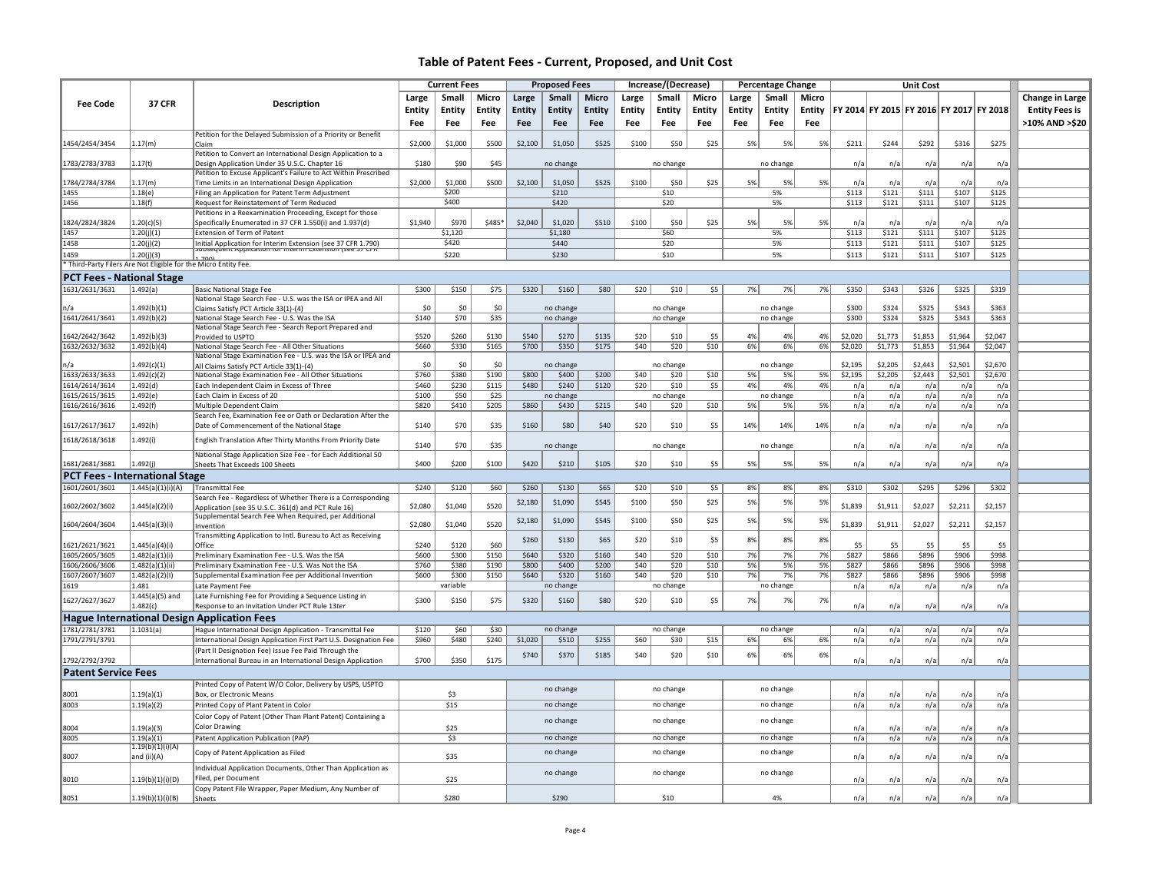|                                  |                                                                 |                                                                                                                          | <b>Current Fees</b><br><b>Proposed Fees</b><br>Increase/(Decrease) |               |               | <b>Percentage Change</b> |                    |              |               |               |               | <b>Unit Cost</b> |           |          |         |         |         |                                         |         |                       |
|----------------------------------|-----------------------------------------------------------------|--------------------------------------------------------------------------------------------------------------------------|--------------------------------------------------------------------|---------------|---------------|--------------------------|--------------------|--------------|---------------|---------------|---------------|------------------|-----------|----------|---------|---------|---------|-----------------------------------------|---------|-----------------------|
|                                  |                                                                 |                                                                                                                          | Large                                                              | Small         | Micro         | Large                    | <b>Small</b>       | <b>Micro</b> | Large         | Small         | Micro         |                  | Small     | Micro    |         |         |         |                                         |         | Change in Large       |
| <b>Fee Code</b>                  | <b>37 CFR</b>                                                   | Description                                                                                                              |                                                                    |               |               |                          |                    |              |               |               |               | Large            |           |          |         |         |         |                                         |         |                       |
|                                  |                                                                 |                                                                                                                          | <b>Entity</b>                                                      | <b>Entity</b> | <b>Entity</b> | <b>Entity</b>            | <b>Entity</b>      | Entity       | <b>Entity</b> | <b>Entity</b> | <b>Entity</b> | <b>Entity</b>    | Entity    | Entity   |         |         |         | FY 2014 FY 2015 FY 2016 FY 2017 FY 2018 |         | <b>Entity Fees is</b> |
|                                  |                                                                 |                                                                                                                          | Fee                                                                | Fee           | Fee           | Fee                      | Fee                | Fee          | Fee           | Fee           | Fee           | Fee              | Fee       | Fee      |         |         |         |                                         |         | >10% AND >\$20        |
|                                  |                                                                 | Petition for the Delayed Submission of a Priority or Benefit                                                             |                                                                    |               |               |                          |                    |              |               |               |               |                  |           |          |         |         |         |                                         |         |                       |
| 1454/2454/3454                   | 1.17(m)                                                         | Claim                                                                                                                    | \$2,000                                                            | \$1,000       | \$500         | \$2,100                  | \$1,050            | \$525        | \$100         | \$50          | \$25          | 5%               | 5%        | 5%       | \$211   | \$244   | \$292   | \$316                                   | \$275   |                       |
|                                  |                                                                 | Petition to Convert an International Design Application to a                                                             |                                                                    |               |               |                          |                    |              |               |               |               |                  |           |          |         |         |         |                                         |         |                       |
| 1783/2783/3783                   | 1.17(t)                                                         | Design Application Under 35 U.S.C. Chapter 16                                                                            | \$180                                                              | \$90          | \$45          |                          | no change          |              |               | no change     |               |                  | no change |          | n/a     | n/a     | n/a     | n/a                                     | n/a     |                       |
|                                  |                                                                 | Petition to Excuse Applicant's Failure to Act Within Prescribed                                                          |                                                                    |               |               |                          |                    |              |               |               |               |                  |           |          |         |         |         |                                         |         |                       |
| 1784/2784/3784                   | .17(m)                                                          | Time Limits in an International Design Application                                                                       | \$2,000                                                            | \$1,000       | \$500         | \$2,100                  | \$1,050            | \$525        | \$100         | \$50          | \$25          | 5%               | 5%        | 5%       | n/a     | n/a     | n/a     | n/a                                     | n/a     |                       |
| 1455                             | 1.18(e)                                                         | Filing an Application for Patent Term Adjustment                                                                         |                                                                    | \$200         |               |                          | \$210              |              |               | \$10          |               |                  | 5%        |          | \$113   | \$121   | \$111   | \$107                                   | \$125   |                       |
| 1456                             | 1.18(f)                                                         | Request for Reinstatement of Term Reduced                                                                                |                                                                    | \$400         |               |                          | \$420              |              |               | \$20          |               |                  | 5%        |          | \$113   | \$121   | \$111   | \$107                                   | \$125   |                       |
|                                  |                                                                 | Petitions in a Reexamination Proceeding, Except for those                                                                |                                                                    |               |               |                          |                    |              |               |               |               |                  |           |          |         |         |         |                                         |         |                       |
| 1824/2824/3824                   | 1.20(c)(5)                                                      | Specifically Enumerated in 37 CFR 1.550(i) and 1.937(d)                                                                  | \$1,940                                                            | \$970         | \$485*        | \$2,040                  | \$1,020            | \$510        | \$100         | \$50          | \$25          | 5%               | 5%        | 5%       | n/a     | n/a     | n/a     | $n/\varepsilon$                         | n/a     |                       |
| 1457                             | 1.20(j)(1)                                                      | Extension of Term of Patent                                                                                              |                                                                    | \$1,120       |               |                          | \$1,180            |              |               | \$60          |               |                  | 5%        |          | \$113   | \$121   | \$111   | \$107                                   | \$125   |                       |
| 1458                             | 1.20(j)(2)                                                      | Initial Application for Interim Extension (see 37 CFR 1.790)<br>idosequent Application for interim extension (see 37 CFK |                                                                    | \$420         |               |                          | \$440              |              |               | \$20          |               |                  | 5%        |          | \$113   | \$121   | \$111   | \$107                                   | \$125   |                       |
| 1459                             | 1.20(i)(3)                                                      | 1.7001                                                                                                                   |                                                                    | \$220         |               |                          | \$230              |              |               | \$10          |               |                  | 5%        |          | \$113   | \$121   | \$111   | \$107                                   | \$125   |                       |
|                                  | * Third-Party Filers Are Not Eligible for the Micro Entity Fee. |                                                                                                                          |                                                                    |               |               |                          |                    |              |               |               |               |                  |           |          |         |         |         |                                         |         |                       |
| <b>PCT Fees - National Stage</b> |                                                                 |                                                                                                                          |                                                                    |               |               |                          |                    |              |               |               |               |                  |           |          |         |         |         |                                         |         |                       |
| 1631/2631/3631                   | 1.492(a)                                                        | Basic National Stage Fee                                                                                                 | \$300                                                              | \$150         | \$75          | \$320                    | \$160              | \$80         | \$20          | \$10          | \$5           | 7%               | 7%        | 7%       | \$350   | \$343   | \$326   | \$325                                   | \$319   |                       |
|                                  |                                                                 | National Stage Search Fee - U.S. was the ISA or IPEA and All                                                             |                                                                    |               |               |                          |                    |              |               |               |               |                  |           |          |         |         |         |                                         |         |                       |
|                                  | 1.492(b)(1)                                                     | Claims Satisfy PCT Article 33(1)-(4)                                                                                     | \$0                                                                | \$0           | \$0           |                          | no change          |              |               | no change     |               |                  | no change |          | \$300   | \$324   | \$325   | \$343                                   | \$363   |                       |
| 1641/2641/3641                   | 1.492(b)(2)                                                     | National Stage Search Fee - U.S. Was the ISA                                                                             | \$140                                                              | \$70          | \$35          |                          | no change          |              |               | no change     |               |                  | no change |          | \$300   | \$324   | \$325   | \$343                                   | \$363   |                       |
|                                  |                                                                 | National Stage Search Fee - Search Report Prepared and                                                                   |                                                                    |               |               |                          |                    |              |               |               |               |                  |           |          |         |         |         |                                         |         |                       |
| 1642/2642/3642                   | .492(b)(3)                                                      | Provided to USPTO                                                                                                        | \$520                                                              | \$260         | \$130         | \$540                    | \$270              | \$135        | \$20          | \$10          | \$5           | 4%               | 4%        | 4%       | \$2,020 | \$1,773 | \$1,853 | \$1,964                                 | \$2,047 |                       |
| 1632/2632/3632                   | 1.492(b)(4)                                                     | National Stage Search Fee - All Other Situations                                                                         | \$660                                                              | \$330         | \$165         | \$700                    | \$350              | \$175        | \$40          | \$20          | \$10          | 6%               | 6%        | 6%       | \$2,020 | \$1,773 | \$1,853 | \$1,964                                 | \$2,047 |                       |
|                                  |                                                                 | National Stage Examination Fee - U.S. was the ISA or IPEA and                                                            |                                                                    | \$0           |               |                          |                    |              |               |               |               |                  |           |          | \$2,195 | \$2,205 | \$2,443 | \$2,501                                 | \$2,670 |                       |
|                                  | .492(c)(1)                                                      | All Claims Satisfy PCT Article 33(1)-(4)                                                                                 | \$0                                                                |               | \$0           |                          | no change          |              |               | no change     |               |                  | no change |          |         |         |         |                                         |         |                       |
| 1633/2633/3633                   | 1.492(c)(2)                                                     | National Stage Examination Fee - All Other Situations                                                                    | \$760                                                              | \$380         | \$190         | \$800<br>\$480           | \$400              | \$200        | \$40          | \$20          | \$10          | 5%               | 5%        | 5%<br>4% | \$2,195 | \$2,205 | \$2,443 | \$2,501                                 | \$2,670 |                       |
| 1614/2614/3614                   | 1.492(d)                                                        | Each Independent Claim in Excess of Three                                                                                | \$460                                                              | \$230         | \$115         |                          | \$240              | \$120        | \$20          | \$10          | \$5           | 4%               | 4%        |          | n/a     | n/a     | n/a     | n/a                                     | n/a     |                       |
| 1615/2615/3615<br>1616/2616/3616 | 1.492(e)                                                        | Each Claim in Excess of 20                                                                                               | \$100                                                              | \$50<br>\$410 | \$25<br>\$205 | \$860                    | no change<br>\$430 | \$215        | \$40          | no change     | \$10          |                  | no change | 5%       | n/a     | n/a     | n/a     | n/a                                     | n/a     |                       |
|                                  | l.492(f)                                                        | Multiple Dependent Claim                                                                                                 | \$820                                                              |               |               |                          |                    |              |               | \$20          |               | 5%               | 5%        |          | n/a     | n/a     | n/a     | n/a                                     | n/a     |                       |
|                                  |                                                                 | Search Fee, Examination Fee or Oath or Declaration After the                                                             |                                                                    | \$70          | \$35          | \$160                    | \$80               | \$40         | \$20          |               | \$5           | 14%              |           | 14%      |         |         |         |                                         |         |                       |
| 1617/2617/3617                   | L.492(h)                                                        | Date of Commencement of the National Stage                                                                               | \$140                                                              |               |               |                          |                    |              |               | \$10          |               |                  | 14%       |          | n/a     | n/a     | n/a     | n/a                                     | n/a     |                       |
| 1618/2618/3618                   | .492(i)                                                         | English Translation After Thirty Months From Priority Date                                                               | \$140                                                              | \$70          | \$35          |                          | no change          |              |               | no change     |               |                  | no change |          | n/a     | n/a     | n/a     | n/a                                     | n/a     |                       |
|                                  |                                                                 | National Stage Application Size Fee - for Each Additional 50                                                             |                                                                    |               |               |                          |                    |              |               |               |               |                  |           |          |         |         |         |                                         |         |                       |
| 1681/2681/3681                   | .492(j)                                                         | Sheets That Exceeds 100 Sheets                                                                                           | \$400                                                              | \$200         | \$100         | \$420                    | \$210              | \$105        | \$20          | \$10          | \$5           | 5%               | 5%        | 5%       | n/a     | n/a     | n/a     | n/a                                     | n/a     |                       |
|                                  |                                                                 |                                                                                                                          |                                                                    |               |               |                          |                    |              |               |               |               |                  |           |          |         |         |         |                                         |         |                       |
|                                  | <b>PCT Fees - International Stage</b>                           |                                                                                                                          |                                                                    |               |               |                          |                    |              |               |               |               |                  |           |          |         |         |         |                                         |         |                       |
| 1601/2601/3601                   | 1.445(a)(1)(i)(A)                                               | <b>Transmittal Fee</b>                                                                                                   | \$240                                                              | \$120         | \$60          | \$260                    | \$130              | \$65         | \$20          | \$10          | \$5           | 8%               | 8%        | 8%       | \$310   | \$302   | \$295   | \$296                                   | \$302   |                       |
| 1602/2602/3602                   | 445(a)(2)(i)                                                    | Search Fee - Regardless of Whether There is a Corresponding                                                              | \$2,080                                                            | \$1,040       | \$520         | \$2,180                  | \$1,090            | \$545        | \$100         | \$50          | \$25          | 5%               | 5%        | 5%       | \$1,839 | \$1,911 | \$2,027 | \$2,211                                 | \$2,157 |                       |
|                                  |                                                                 | Application (see 35 U.S.C. 361(d) and PCT Rule 16)<br>Supplemental Search Fee When Required, per Additional              |                                                                    |               |               |                          |                    |              |               |               |               |                  |           |          |         |         |         |                                         |         |                       |
| 1604/2604/3604                   | 1.445(a)(3)(i)                                                  | Invention                                                                                                                | \$2,080                                                            | \$1,040       | \$520         | \$2,180                  | \$1,090            | \$545        | \$100         | \$50          | \$25          | 5%               | 5%        | 5%       | \$1,839 | \$1,911 | \$2,027 | \$2,211                                 | \$2,157 |                       |
|                                  |                                                                 | Transmitting Application to Intl. Bureau to Act as Receiving                                                             |                                                                    |               |               |                          |                    |              |               |               |               |                  |           |          |         |         |         |                                         |         |                       |
| 1621/2621/3621                   | .445(a)(4)(i)                                                   | Office                                                                                                                   | \$240                                                              | \$120         | \$60          | \$260                    | \$130              | \$65         | \$20          | \$10          | \$5           | 8%               | 8%        | 8%       | \$5     | \$5     | \$5     | \$5                                     | \$5     |                       |
| 1605/2605/3605                   | 1.482(a)(1)(i)                                                  | Preliminary Examination Fee - U.S. Was the ISA                                                                           | \$600                                                              | \$300         | \$150         | \$640                    | \$320              | \$160        | \$40          | \$20          | \$10          | 7%               | 7%        | 7%       | \$827   | \$866   | \$896   | \$906                                   | \$998   |                       |
| 1606/2606/3606                   | l.482(a)(1)(ii)                                                 | Preliminary Examination Fee - U.S. Was Not the ISA                                                                       | \$760                                                              | \$380         | \$190         | \$800                    | \$400              | \$200        | \$40          | \$20          | \$10          | 5%               | 5%        | 5%       | \$827   | \$866   | \$896   | \$906                                   | \$998   |                       |
| 1607/2607/3607                   | 1.482(a)(2)(1)                                                  | Supplemental Examination Fee per Additional Invention                                                                    | \$600                                                              | \$300         | \$150         | \$640                    | \$320              | \$160        | \$40          | \$20          | \$10          | 7%               | 7%        | 7%       | \$827   | \$866   | \$896   | \$906                                   | \$998   |                       |
| 1619                             | 1.481                                                           | Late Payment Fee                                                                                                         |                                                                    | variable      |               |                          | no change          |              |               | no change     |               |                  | no change |          | n/a     | n/a     | n/a     | n/a                                     | n/a     |                       |
|                                  | i.445(a)(5) and                                                 | Late Furnishing Fee for Providing a Sequence Listing in                                                                  |                                                                    |               |               |                          |                    |              |               |               |               |                  |           |          |         |         |         |                                         |         |                       |
| 1627/2627/3627                   | 1.482(c)                                                        | Response to an Invitation Under PCT Rule 13ter                                                                           | \$300                                                              | \$150         | \$75          | \$320                    | \$160              | \$80         | \$20          | \$10          | \$5           | 7%               | 7%        | 7%       | n/a     | n/a     | n/a     | n/a                                     | n/a     |                       |
|                                  |                                                                 | <b>Hague International Design Application Fees</b>                                                                       |                                                                    |               |               |                          |                    |              |               |               |               |                  |           |          |         |         |         |                                         |         |                       |
| 1781/2781/3781                   |                                                                 |                                                                                                                          |                                                                    | \$60          |               |                          |                    |              |               |               |               |                  |           |          |         |         |         |                                         |         |                       |
| 1791/2791/3791                   | 1.1031(a)                                                       | Hague International Design Application - Transmittal Fee                                                                 | \$120<br>\$960                                                     | \$480         | \$30<br>\$240 |                          | no change<br>\$510 | \$255        |               | no change     |               |                  | no change |          | n/a     | n/a     | n/a     | n/a                                     | n/a     |                       |
|                                  |                                                                 | International Design Application First Part U.S. Designation Fee                                                         |                                                                    |               |               | \$1,020                  |                    |              | \$60          | \$30          | \$15          | 6%               | 6%        | 6%       | n/a     | n/a     | n/a     | n/a                                     | n/a     |                       |
|                                  |                                                                 | (Part II Designation Fee) Issue Fee Paid Through the                                                                     |                                                                    | \$350         | \$175         | \$740                    | \$370              | \$185        | \$40          | \$20          | \$10          | 6%               | 6%        | 6%       |         |         |         |                                         | n/a     |                       |
| 1792/2792/3792                   |                                                                 | International Bureau in an International Design Application                                                              | \$700                                                              |               |               |                          |                    |              |               |               |               |                  |           |          | n/a     | n/a     | n/a     | n/a                                     |         |                       |
| <b>Patent Service Fees</b>       |                                                                 |                                                                                                                          |                                                                    |               |               |                          |                    |              |               |               |               |                  |           |          |         |         |         |                                         |         |                       |
|                                  |                                                                 | Printed Copy of Patent W/O Color, Delivery by USPS, USPTO                                                                |                                                                    |               |               |                          | no change          |              |               | no change     |               |                  | no change |          |         |         |         |                                         |         |                       |
| 8001                             | 1.19(a)(1)                                                      | Box, or Electronic Means                                                                                                 |                                                                    | \$3           |               |                          |                    |              |               |               |               |                  |           |          | n/a     | n/a     | n/a     | n/a                                     | n/a     |                       |
| 8003                             | 1.19(a)(2)                                                      | Printed Copy of Plant Patent in Color                                                                                    |                                                                    | \$15          |               |                          | no change          |              |               | no change     |               |                  | no change |          | n/a     | n/a     | n/a     | n/a                                     | n/a     |                       |
|                                  |                                                                 | Color Copy of Patent (Other Than Plant Patent) Containing a                                                              |                                                                    |               |               |                          | no change          |              |               | no change     |               |                  | no change |          |         |         |         |                                         |         |                       |
| 8004                             | (.19(a)(3)                                                      | <b>Color Drawing</b>                                                                                                     |                                                                    | \$25          |               |                          |                    |              |               |               |               |                  |           |          | n/a     | n/a     | n/a     | n/a                                     | n/a     |                       |
| 8005                             | 1.19(a)(1)                                                      | Patent Application Publication (PAP)                                                                                     |                                                                    | \$3           |               |                          | no change          |              |               | no change     |               |                  | no change |          | n/a     | n/a     | n/a     | n/a                                     | n/a     |                       |
|                                  | 1.19(b)(1)(i)(A)                                                |                                                                                                                          |                                                                    |               |               |                          |                    |              |               | no change     |               |                  |           |          |         |         |         |                                         |         |                       |
| 8007                             | and (ii)(A)                                                     | Copy of Patent Application as Filed                                                                                      |                                                                    | \$35          |               |                          | no change          |              |               |               |               |                  | no change |          | n/a     | n/a     | n/a     | n/a                                     | n/a     |                       |
|                                  |                                                                 | Individual Application Documents, Other Than Application as                                                              |                                                                    |               |               |                          |                    |              |               | no change     |               |                  |           |          |         |         |         |                                         |         |                       |
| 8010                             | 1.19(b)(1)(i)(D)                                                | Filed, per Document                                                                                                      |                                                                    | \$25          |               |                          | no change          |              |               |               |               |                  | no change |          | n/a     | n/a     | n/a     | n/a                                     | n/a     |                       |
|                                  |                                                                 | Copy Patent File Wrapper, Paper Medium, Any Number of                                                                    |                                                                    |               |               |                          |                    |              |               |               |               |                  |           |          |         |         |         |                                         |         |                       |
| 8051                             | 1.19(b)(1)(i)(B)                                                | Sheets                                                                                                                   |                                                                    | \$280         |               |                          | \$290              |              |               | \$10          |               |                  | 4%        |          | n/a     | n/a     | n/a     | n/a                                     | n/a     |                       |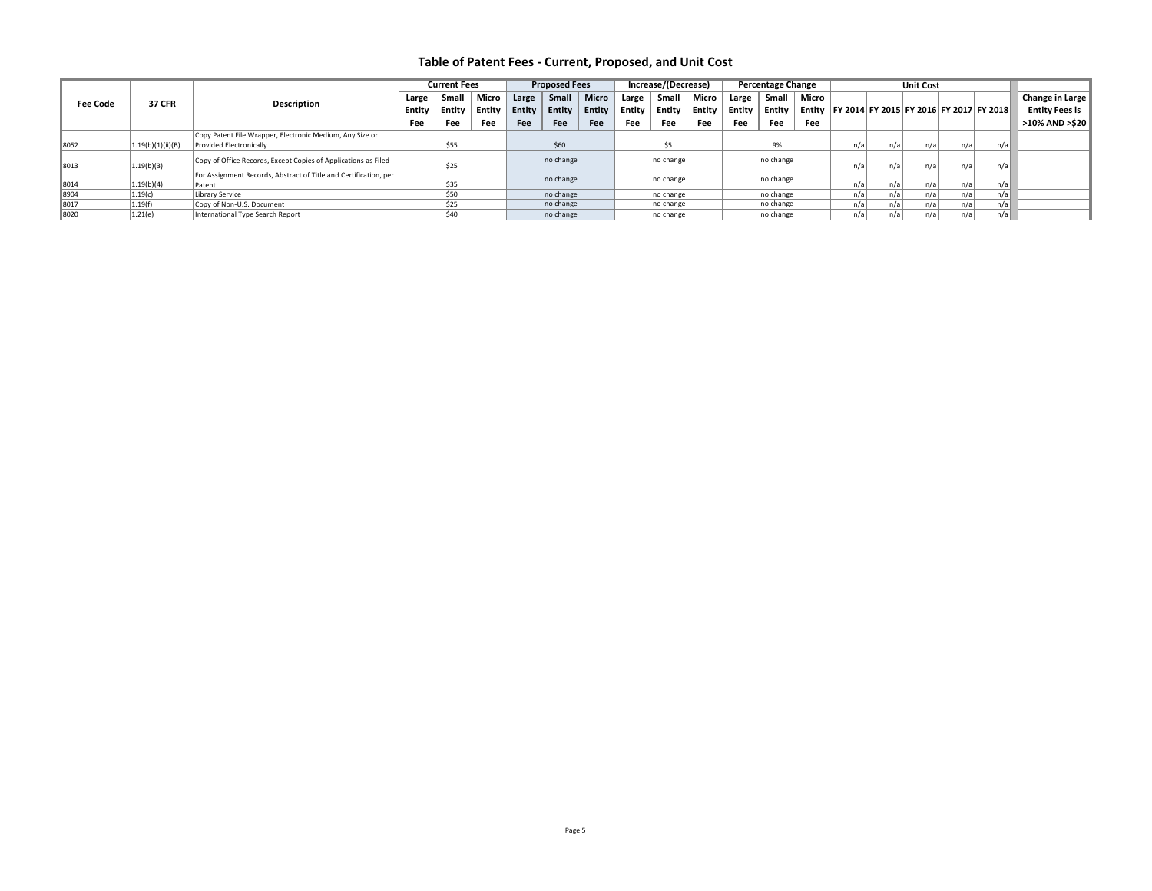|      |                                                 |                                                                  |            | <b>Current Fees</b> |        |            | <b>Proposed Fees</b>  |            |                         | Increase/(Decrease) |        |        | <b>Percentage Change</b> |        |                  | <b>Unit Cost</b> |      |       |                                         |                       |
|------|-------------------------------------------------|------------------------------------------------------------------|------------|---------------------|--------|------------|-----------------------|------------|-------------------------|---------------------|--------|--------|--------------------------|--------|------------------|------------------|------|-------|-----------------------------------------|-----------------------|
|      | <b>37 CFR</b><br>Description<br><b>Fee Code</b> |                                                                  | Large      | Micro<br>Sma        |        | Large      | <b>Micro</b><br>Small |            | Micro<br>Small<br>Large |                     | Large  | Small  | Micro                    |        |                  |                  |      |       | Change in Large                         |                       |
|      |                                                 |                                                                  | Entity     | Entity              | Entity | Entity $ $ | Entity                | Entity     | Entity                  | Entity              | Entitv | Entity | Entity                   | Entity |                  |                  |      |       | FY 2014 FY 2015 FY 2016 FY 2017 FY 2018 | <b>Entity Fees is</b> |
|      |                                                 |                                                                  | <b>Fee</b> | <b>Fee</b>          | Fee    | <b>Fee</b> | Fee                   | <b>Fee</b> | Fee                     | Fee                 | Fee    | Fee    | Fee                      | Fee    |                  |                  |      |       |                                         | >10% AND >\$20        |
|      |                                                 | Copy Patent File Wrapper, Electronic Medium, Any Size or         |            |                     |        |            |                       |            |                         |                     |        |        |                          |        |                  |                  |      |       |                                         |                       |
| 8052 | 1.19(b)(1)(ii)(B)                               | Provided Electronically                                          |            | \$55                |        |            | \$60                  |            |                         | \$5                 |        |        | 9%                       |        | n/a <sub>1</sub> | n/a              | n/a  | n/a   | n/a                                     |                       |
| 8013 | 1.19(b)(3)                                      | Copy of Office Records, Except Copies of Applications as Filed   |            | \$25                |        |            | no change             |            |                         | no change           |        |        | no change                |        | n/a              | n/a              | n/a  | n/a   | n/a                                     |                       |
|      |                                                 | For Assignment Records, Abstract of Title and Certification, per |            |                     |        |            | no change             |            |                         | no change           |        |        | no change                |        |                  |                  |      |       |                                         |                       |
| 8014 | 1.19(b)(4)                                      | Patent                                                           |            | \$35                |        |            |                       |            |                         |                     |        |        |                          |        | n/a              | n/a              | n/a  | n/a   | n/a                                     |                       |
| 8904 | 1.19(c)                                         | Library Service                                                  |            | \$50                |        |            | no change             |            |                         | no change           |        |        | no change                |        | n/a              | n/a              | n/a  | n/a l | n/a                                     |                       |
| 8017 | 1.19(f)                                         | Copy of Non-U.S. Document                                        |            | \$25                |        |            | no change             |            |                         | no change           |        |        | no change                |        | n/a              | n/a              | n/a  | n/ai  | n/al                                    |                       |
| 8020 | 1.21(e)                                         | International Type Search Report                                 |            | \$40                |        |            | no change             |            |                         | no change           |        |        | no change                |        | n/a              | n/al             | n/al | n/al  | n/al                                    |                       |